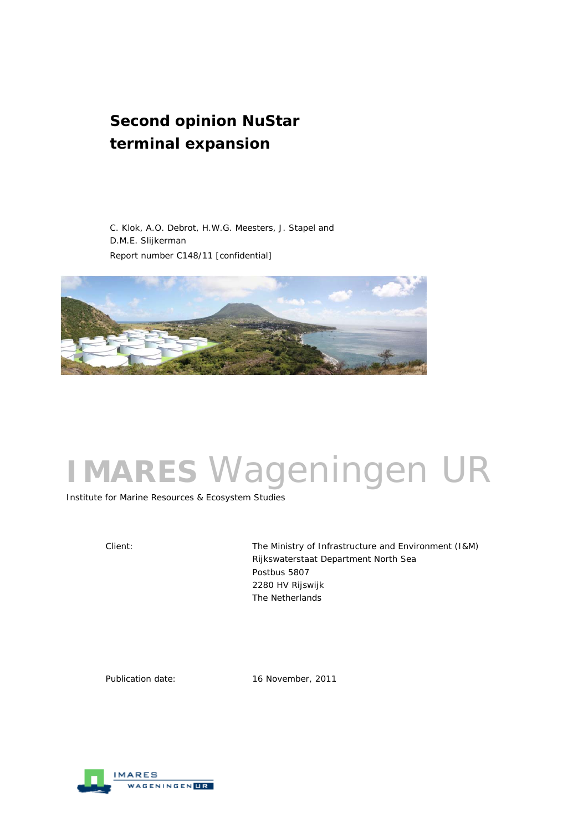# **Second opinion NuStar terminal expansion**

 C. Klok, A.O. Debrot, H.W.G. Meesters, J. Stapel and D.M.E. Slijkerman Report number C148/11 [confidential]



# **IMARES** Wageningen UR

Institute for Marine Resources & Ecosystem Studies

Client: The Ministry of Infrastructure and Environment (I&M) Rijkswaterstaat Department North Sea Postbus 5807 2280 HV Rijswijk The Netherlands

Publication date: 16 November, 2011

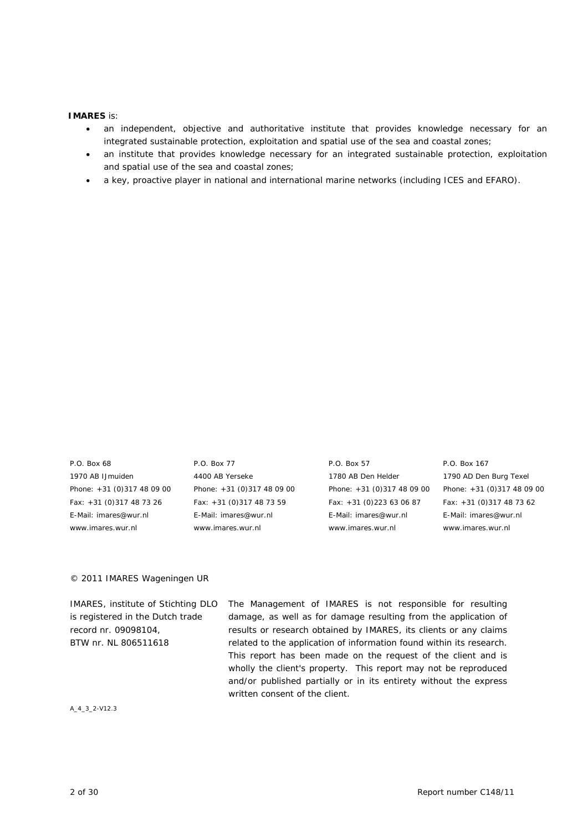#### **IMARES** is:

- an independent, objective and authoritative institute that provides knowledge necessary for an integrated sustainable protection, exploitation and spatial use of the sea and coastal zones;
- an institute that provides knowledge necessary for an integrated sustainable protection, exploitation and spatial use of the sea and coastal zones;
- a key, proactive player in national and international marine networks (including ICES and EFARO).

1970 AB IJmuiden 4400 AB Yerseke 1780 AB Den Helder 1790 AD Den Burg Texel Phone: +31 (0)317 48 09 00 Phone: +31 (0)317 48 09 00 Phone: +31 (0)317 48 09 00 Phone: +31 (0)317 48 09 00 Fax: +31 (0)317 48 73 26 Fax: +31 (0)317 48 73 59 Fax: +31 (0)223 63 06 87 Fax: +31 (0)317 48 73 62 E-Mail: imares@wur.nl E-Mail: imares@wur.nl E-Mail: imares@wur.nl E-Mail: imares@wur.nl www.imares.wur.nl www.imares.wur.nl www.imares.wur.nl www.imares.wur.nl

P.O. Box 68 P.O. Box 77 P.O. Box 57 P.O. Box 167

#### © 2011 IMARES Wageningen UR

IMARES, institute of Stichting DLO is registered in the Dutch trade record nr. 09098104, BTW nr. NL 806511618 The Management of IMARES is not responsible for resulting damage, as well as for damage resulting from the application of results or research obtained by IMARES, its clients or any claims related to the application of information found within its research. This report has been made on the request of the client and is wholly the client's property. This report may not be reproduced and/or published partially or in its entirety without the express written consent of the client.

A\_4\_3\_2-V12.3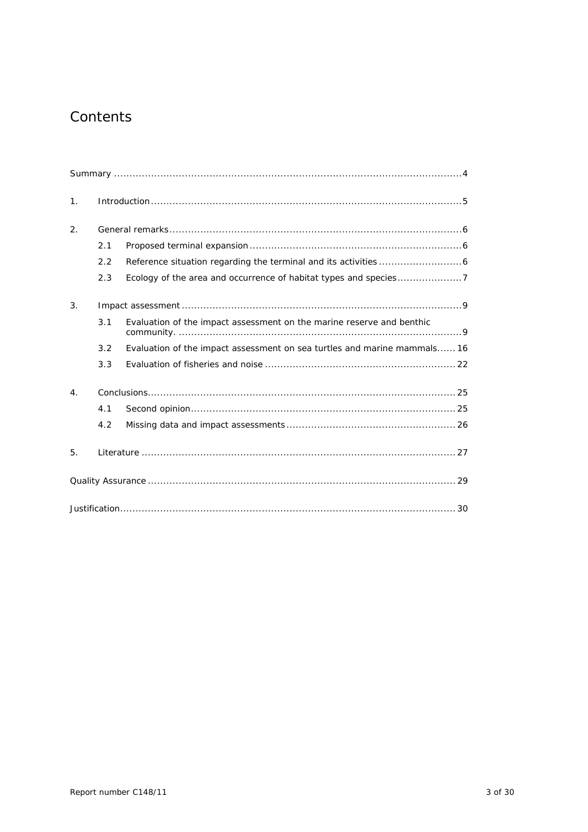# Contents

| $\mathbf 1$ .    |     |                                                                          |
|------------------|-----|--------------------------------------------------------------------------|
| 2.               |     |                                                                          |
|                  | 2.1 |                                                                          |
|                  | 2.2 |                                                                          |
|                  | 2.3 |                                                                          |
| 3.               |     |                                                                          |
|                  | 3.1 | Evaluation of the impact assessment on the marine reserve and benthic    |
|                  | 3.2 | Evaluation of the impact assessment on sea turtles and marine mammals 16 |
|                  | 3.3 |                                                                          |
| $\overline{4}$ . |     |                                                                          |
|                  | 4.1 |                                                                          |
|                  | 4.2 |                                                                          |
| 5.               |     |                                                                          |
|                  |     |                                                                          |
|                  |     |                                                                          |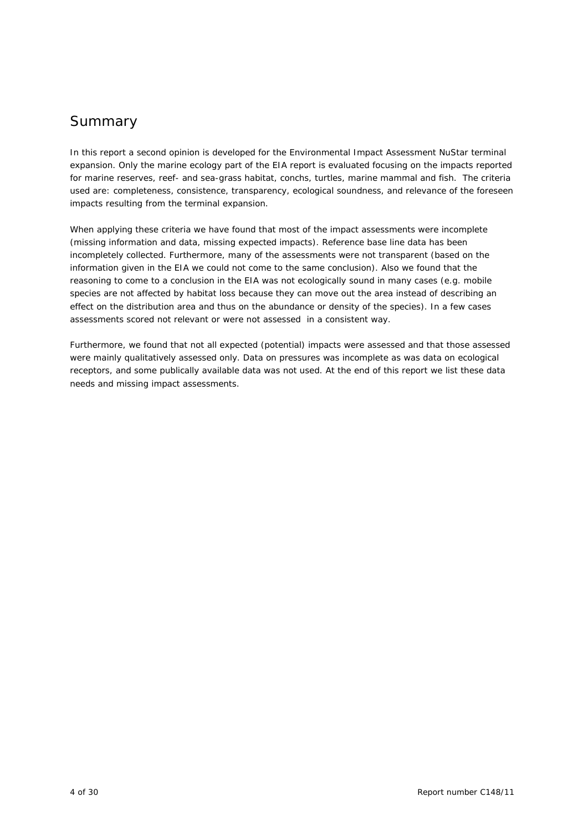# Summary

In this report a second opinion is developed for the Environmental Impact Assessment NuStar terminal expansion. Only the marine ecology part of the EIA report is evaluated focusing on the impacts reported for marine reserves, reef- and sea-grass habitat, conchs, turtles, marine mammal and fish. The criteria used are: completeness, consistence, transparency, ecological soundness, and relevance of the foreseen impacts resulting from the terminal expansion.

When applying these criteria we have found that most of the impact assessments were incomplete (missing information and data, missing expected impacts). Reference base line data has been incompletely collected. Furthermore, many of the assessments were not transparent (based on the information given in the EIA we could not come to the same conclusion). Also we found that the reasoning to come to a conclusion in the EIA was not ecologically sound in many cases (e.g. mobile species are not affected by habitat loss because they can move out the area instead of describing an effect on the distribution area and thus on the abundance or density of the species). In a few cases assessments scored not relevant or were not assessed in a consistent way.

Furthermore, we found that not all expected (potential) impacts were assessed and that those assessed were mainly qualitatively assessed only. Data on pressures was incomplete as was data on ecological receptors, and some publically available data was not used. At the end of this report we list these data needs and missing impact assessments.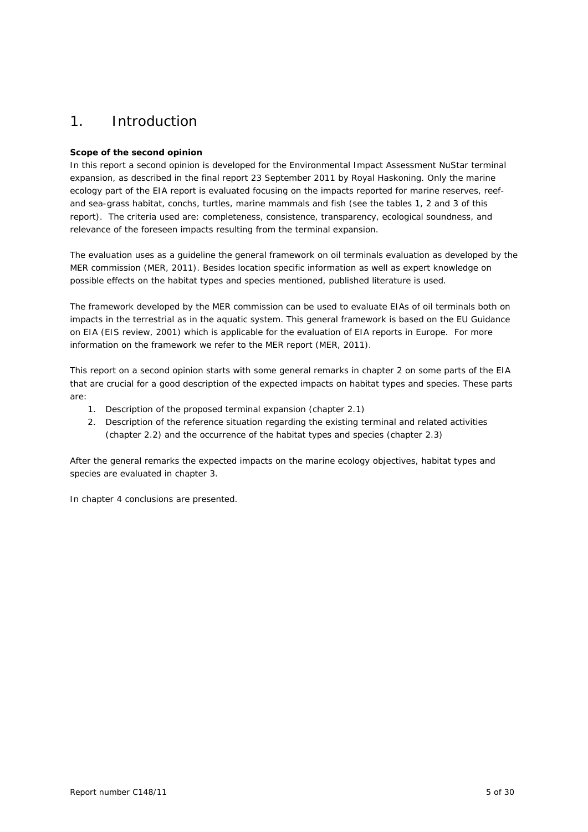# 1. Introduction

## **Scope of the second opinion**

In this report a second opinion is developed for the Environmental Impact Assessment NuStar terminal expansion, as described in the final report 23 September 2011 by Royal Haskoning. Only the marine ecology part of the EIA report is evaluated focusing on the impacts reported for marine reserves, reefand sea-grass habitat, conchs, turtles, marine mammals and fish (see the tables 1, 2 and 3 of this report). The criteria used are: completeness, consistence, transparency, ecological soundness, and relevance of the foreseen impacts resulting from the terminal expansion.

The evaluation uses as a guideline the general framework on oil terminals evaluation as developed by the MER commission (MER, 2011). Besides location specific information as well as expert knowledge on possible effects on the habitat types and species mentioned, published literature is used.

The framework developed by the MER commission can be used to evaluate EIAs of oil terminals both on impacts in the terrestrial as in the aquatic system. This general framework is based on the EU Guidance on EIA (EIS review, 2001) which is applicable for the evaluation of EIA reports in Europe. For more information on the framework we refer to the MER report (MER, 2011).

This report on a second opinion starts with some general remarks in chapter 2 on some parts of the EIA that are crucial for a good description of the expected impacts on habitat types and species. These parts are:

- 1. Description of the proposed terminal expansion (chapter 2.1)
- 2. Description of the reference situation regarding the existing terminal and related activities (chapter 2.2) and the occurrence of the habitat types and species (chapter 2.3)

After the general remarks the expected impacts on the marine ecology objectives, habitat types and species are evaluated in chapter 3.

In chapter 4 conclusions are presented.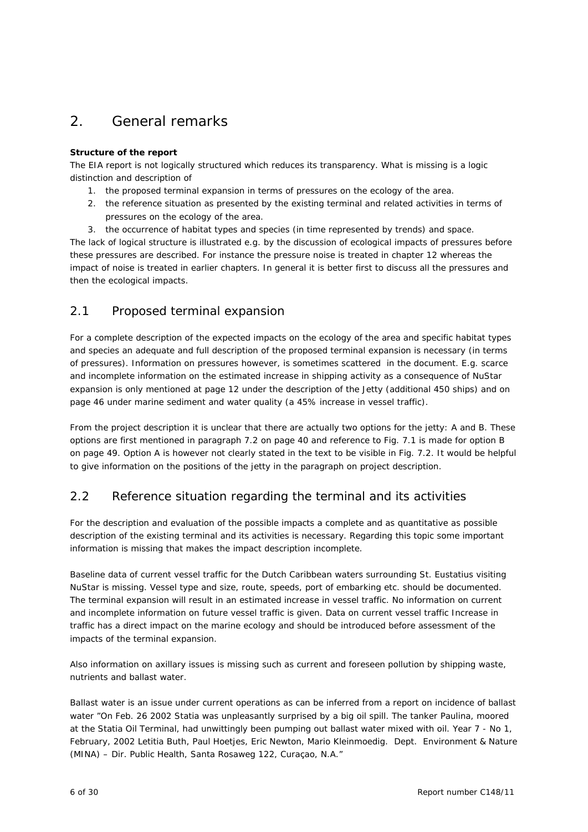# 2. General remarks

# **Structure of the report**

The EIA report is not logically structured which reduces its transparency. What is missing is a logic distinction and description of

- 1. the proposed terminal expansion in terms of pressures on the ecology of the area.
- 2. the reference situation as presented by the existing terminal and related activities in terms of pressures on the ecology of the area.
- 3. the occurrence of habitat types and species (in time represented by trends) and space.

The lack of logical structure is illustrated e.g. by the discussion of ecological impacts of pressures before these pressures are described. For instance the pressure noise is treated in chapter 12 whereas the impact of noise is treated in earlier chapters. In general it is better first to discuss all the pressures and then the ecological impacts.

# 2.1 Proposed terminal expansion

For a complete description of the expected impacts on the ecology of the area and specific habitat types and species an adequate and full description of the proposed terminal expansion is necessary (in terms of pressures). Information on pressures however, is sometimes scattered in the document. E.g. scarce and incomplete information on the estimated increase in shipping activity as a consequence of NuStar expansion is only mentioned at page 12 under the description of the Jetty (additional 450 ships) and on page 46 under marine sediment and water quality (a 45% increase in vessel traffic).

From the project description it is unclear that there are actually two options for the jetty: A and B. These options are first mentioned in paragraph 7.2 on page 40 and reference to Fig. 7.1 is made for option B on page 49. Option A is however not clearly stated in the text to be visible in Fig. 7.2. It would be helpful to give information on the positions of the jetty in the paragraph on project description.

# 2.2 Reference situation regarding the terminal and its activities

For the description and evaluation of the possible impacts a complete and as quantitative as possible description of the existing terminal and its activities is necessary. Regarding this topic some important information is missing that makes the impact description incomplete.

Baseline data of current vessel traffic for the Dutch Caribbean waters surrounding St. Eustatius visiting NuStar is missing. Vessel type and size, route, speeds, port of embarking etc. should be documented. The terminal expansion will result in an estimated increase in vessel traffic. No information on current and incomplete information on future vessel traffic is given. Data on current vessel traffic Increase in traffic has a direct impact on the marine ecology and should be introduced before assessment of the impacts of the terminal expansion.

Also information on axillary issues is missing such as current and foreseen pollution by shipping waste, nutrients and ballast water.

Ballast water is an issue under current operations as can be inferred from a report on incidence of ballast water "On Feb. 26 2002 Statia was unpleasantly surprised by a big oil spill. The tanker Paulina, moored at the Statia Oil Terminal, had unwittingly been pumping out ballast water mixed with oil. Year 7 - No 1, February, 2002 Letitia Buth, Paul Hoetjes, Eric Newton, Mario Kleinmoedig. Dept. Environment & Nature (MINA) – Dir. Public Health, Santa Rosaweg 122, Curaçao, N.A."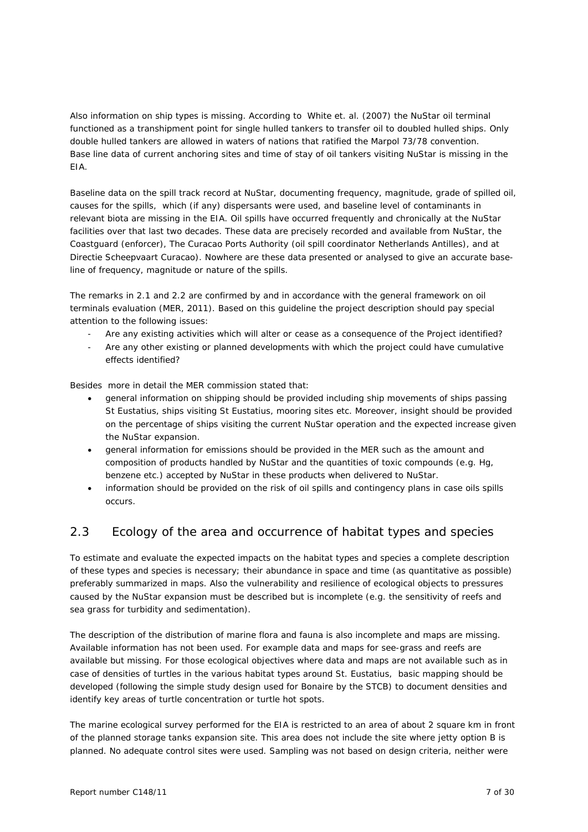Also information on ship types is missing. According to White et. al. (2007) the NuStar oil terminal functioned as a transhipment point for single hulled tankers to transfer oil to doubled hulled ships. Only double hulled tankers are allowed in waters of nations that ratified the Marpol 73/78 convention. Base line data of current anchoring sites and time of stay of oil tankers visiting NuStar is missing in the EIA.

Baseline data on the spill track record at NuStar, documenting frequency, magnitude, grade of spilled oil, causes for the spills, which (if any) dispersants were used, and baseline level of contaminants in relevant biota are missing in the EIA. Oil spills have occurred frequently and chronically at the NuStar facilities over that last two decades. These data are precisely recorded and available from NuStar, the Coastguard (enforcer), The Curacao Ports Authority (oil spill coordinator Netherlands Antilles), and at Directie Scheepvaart Curacao). Nowhere are these data presented or analysed to give an accurate baseline of frequency, magnitude or nature of the spills.

The remarks in 2.1 and 2.2 are confirmed by and in accordance with the general framework on oil terminals evaluation (MER, 2011). Based on this guideline the project description should pay special attention to the following issues:

- Are any existing activities which will alter or cease as a consequence of the Project identified?
- Are any other existing or planned developments with which the project could have cumulative effects identified?

Besides more in detail the MER commission stated that:

- general information on shipping should be provided including ship movements of ships passing St Eustatius, ships visiting St Eustatius, mooring sites etc. Moreover, insight should be provided on the percentage of ships visiting the current NuStar operation and the expected increase given the NuStar expansion.
- general information for emissions should be provided in the MER such as the amount and composition of products handled by NuStar and the quantities of toxic compounds (e.g. Hg, benzene etc.) accepted by NuStar in these products when delivered to NuStar.
- information should be provided on the risk of oil spills and contingency plans in case oils spills occurs.

# 2.3 Ecology of the area and occurrence of habitat types and species

To estimate and evaluate the expected impacts on the habitat types and species a complete description of these types and species is necessary; their abundance in space and time (as quantitative as possible) preferably summarized in maps. Also the vulnerability and resilience of ecological objects to pressures caused by the NuStar expansion must be described but is incomplete (e.g. the sensitivity of reefs and sea grass for turbidity and sedimentation).

The description of the distribution of marine flora and fauna is also incomplete and maps are missing. Available information has not been used. For example data and maps for see-grass and reefs are available but missing. For those ecological objectives where data and maps are not available such as in case of densities of turtles in the various habitat types around St. Eustatius, basic mapping should be developed (following the simple study design used for Bonaire by the STCB) to document densities and identify key areas of turtle concentration or turtle hot spots.

The marine ecological survey performed for the EIA is restricted to an area of about 2 square km in front of the planned storage tanks expansion site. This area does not include the site where jetty option B is planned. No adequate control sites were used. Sampling was not based on design criteria, neither were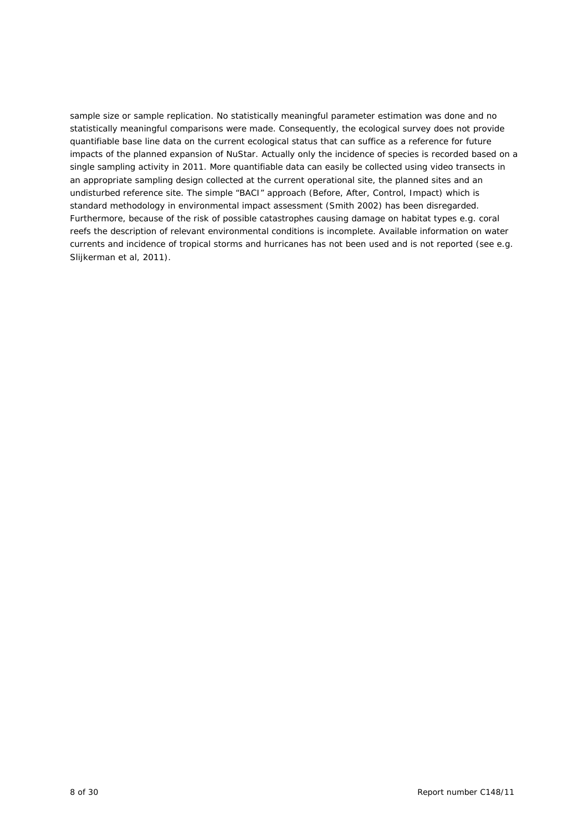sample size or sample replication. No statistically meaningful parameter estimation was done and no statistically meaningful comparisons were made. Consequently, the ecological survey does not provide quantifiable base line data on the current ecological status that can suffice as a reference for future impacts of the planned expansion of NuStar. Actually only the incidence of species is recorded based on a single sampling activity in 2011. More quantifiable data can easily be collected using video transects in an appropriate sampling design collected at the current operational site, the planned sites and an undisturbed reference site. The simple "BACI" approach (Before, After, Control, Impact) which is standard methodology in environmental impact assessment (Smith 2002) has been disregarded. Furthermore, because of the risk of possible catastrophes causing damage on habitat types e.g. coral reefs the description of relevant environmental conditions is incomplete. Available information on water currents and incidence of tropical storms and hurricanes has not been used and is not reported (see e.g. Slijkerman et al, 2011).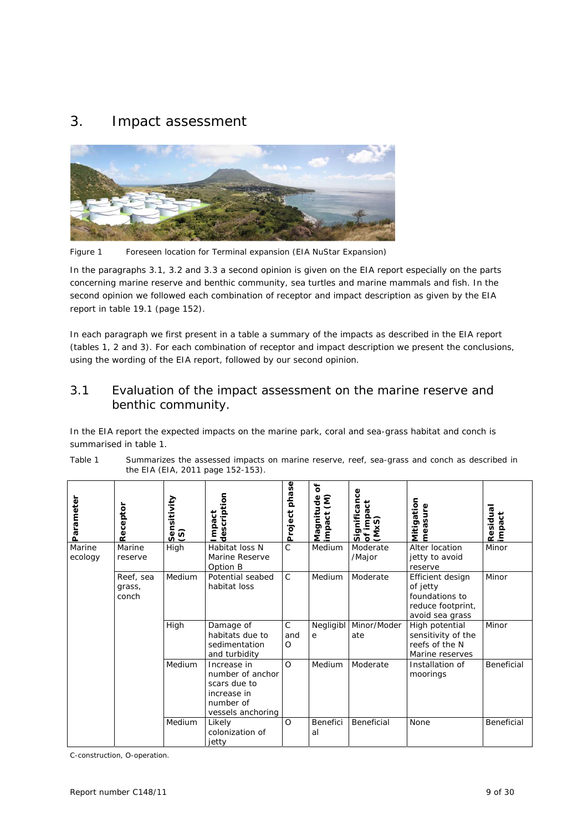# 3. Impact assessment



*Figure 1 Foreseen location for Terminal expansion (EIA NuStar Expansion)* 

In the paragraphs 3.1, 3.2 and 3.3 a second opinion is given on the EIA report especially on the parts concerning marine reserve and benthic community, sea turtles and marine mammals and fish. In the second opinion we followed each combination of receptor and impact description as given by the EIA report in table 19.1 (page 152).

In each paragraph we first present in a table a summary of the impacts as described in the EIA report (tables 1, 2 and 3). For each combination of receptor and impact description we present the conclusions, using the wording of the EIA report, followed by our second opinion.

# 3.1 Evaluation of the impact assessment on the marine reserve and benthic community.

In the EIA report the expected impacts on the marine park, coral and sea-grass habitat and conch is summarised in table 1.

| Parameter         | Receptor                     | Sensitivity<br>$\odot$ | description<br>Impact                                                                            | phase<br>Project                | $\mathbf{\tilde{o}}$<br>ξ<br>Magnitude<br>impact (M) | Significance<br>$\overline{c}$<br>of impac<br>(MxS) | Mitigation<br>measure                                                                  | Residual<br>İmpact |
|-------------------|------------------------------|------------------------|--------------------------------------------------------------------------------------------------|---------------------------------|------------------------------------------------------|-----------------------------------------------------|----------------------------------------------------------------------------------------|--------------------|
| Marine<br>ecology | Marine<br>reserve            | High                   | Habitat loss N<br>Marine Reserve<br>Option B                                                     | Ć                               | Medium                                               | Moderate<br>/Major                                  | Alter location<br>jetty to avoid<br>reserve                                            | Minor              |
|                   | Reef, sea<br>grass,<br>conch | Medium                 | Potential seabed<br>habitat loss                                                                 | $\mathsf{C}$                    | Medium                                               | Moderate                                            | Efficient design<br>of jetty<br>foundations to<br>reduce footprint,<br>avoid sea grass | Minor              |
|                   |                              | High                   | Damage of<br>habitats due to<br>sedimentation<br>and turbidity                                   | $\mathsf{C}$<br>and<br>$\Omega$ | Negligibl<br>e                                       | Minor/Moder<br>ate                                  | High potential<br>sensitivity of the<br>reefs of the N<br>Marine reserves              | Minor              |
|                   |                              | Medium                 | Increase in<br>number of anchor<br>scars due to<br>increase in<br>number of<br>vessels anchoring | $\Omega$                        | Medium                                               | Moderate                                            | Installation of<br>moorings                                                            | Beneficial         |
|                   |                              | Medium                 | Likely<br>colonization of<br>jetty                                                               | $\Omega$                        | Benefici<br>al                                       | Beneficial                                          | None                                                                                   | Beneficial         |

*Table 1 Summarizes the assessed impacts on marine reserve, reef, sea-grass and conch as described in the EIA (EIA, 2011 page 152-153).* 

C-construction, O-operation.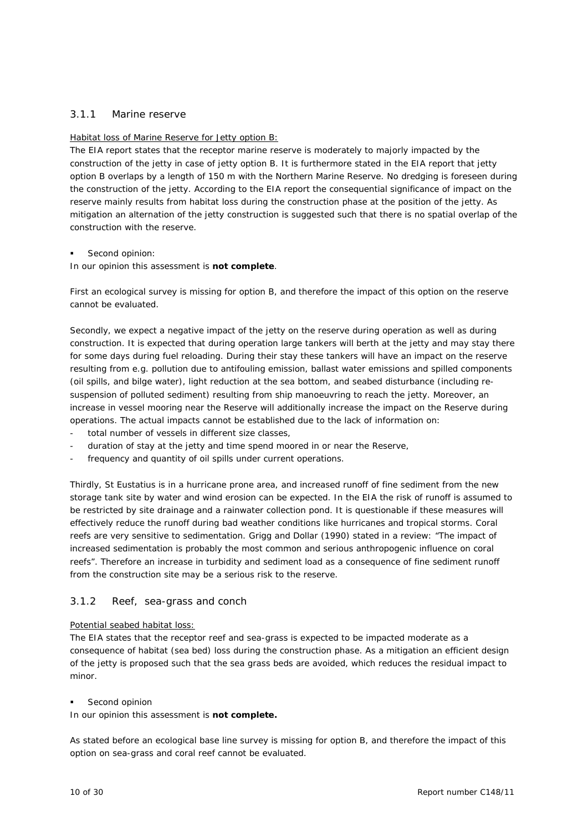## 3.1.1 Marine reserve

#### Habitat loss of Marine Reserve for Jetty option B:

The EIA report states that the receptor marine reserve is moderately to majorly impacted by the construction of the jetty in case of jetty option B. It is furthermore stated in the EIA report that jetty option B overlaps by a length of 150 m with the Northern Marine Reserve. No dredging is foreseen during the construction of the jetty. According to the EIA report the consequential significance of impact on the reserve mainly results from habitat loss during the construction phase at the position of the jetty. As mitigation an alternation of the jetty construction is suggested such that there is no spatial overlap of the construction with the reserve.

#### Second opinion:

In our opinion this assessment is **not complete**.

First an ecological survey is missing for option B, and therefore the impact of this option on the reserve cannot be evaluated.

Secondly, we expect a negative impact of the jetty on the reserve during operation as well as during construction. It is expected that during operation large tankers will berth at the jetty and may stay there for some days during fuel reloading. During their stay these tankers will have an impact on the reserve resulting from e.g. pollution due to antifouling emission, ballast water emissions and spilled components (oil spills, and bilge water), light reduction at the sea bottom, and seabed disturbance (including resuspension of polluted sediment) resulting from ship manoeuvring to reach the jetty. Moreover, an increase in vessel mooring near the Reserve will additionally increase the impact on the Reserve during operations. The actual impacts cannot be established due to the lack of information on:

- total number of vessels in different size classes.
- duration of stay at the jetty and time spend moored in or near the Reserve,
- frequency and quantity of oil spills under current operations.

Thirdly, St Eustatius is in a hurricane prone area, and increased runoff of fine sediment from the new storage tank site by water and wind erosion can be expected. In the EIA the risk of runoff is assumed to be restricted by site drainage and a rainwater collection pond. It is questionable if these measures will effectively reduce the runoff during bad weather conditions like hurricanes and tropical storms. Coral reefs are very sensitive to sedimentation. Grigg and Dollar (1990) stated in a review: "The impact of increased sedimentation is probably the most common and serious anthropogenic influence on coral reefs". Therefore an increase in turbidity and sediment load as a consequence of fine sediment runoff from the construction site may be a serious risk to the reserve.

#### 3.1.2 Reef, sea-grass and conch

#### Potential seabed habitat loss:

The EIA states that the receptor reef and sea-grass is expected to be impacted moderate as a consequence of habitat (sea bed) loss during the construction phase. As a mitigation an efficient design of the jetty is proposed such that the sea grass beds are avoided, which reduces the residual impact to minor.

#### Second opinion

In our opinion this assessment is **not complete.**

As stated before an ecological base line survey is missing for option B, and therefore the impact of this option on sea-grass and coral reef cannot be evaluated.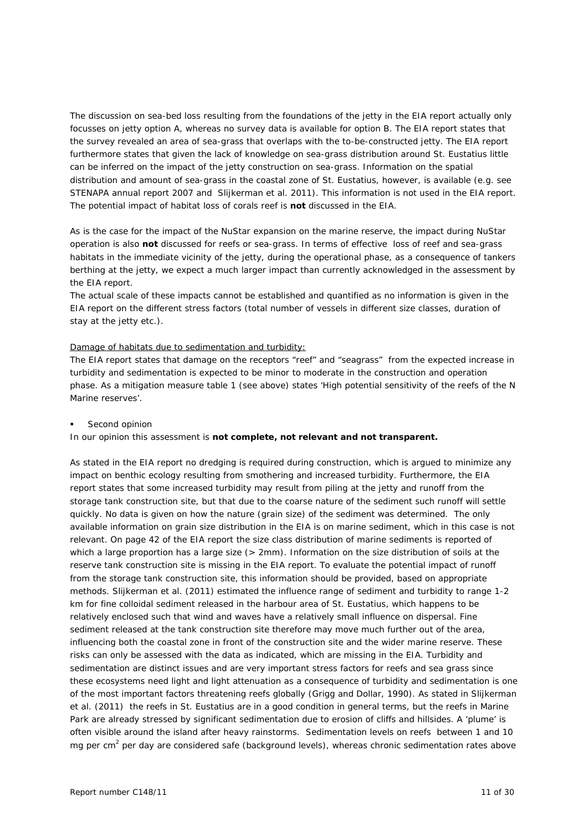The discussion on sea-bed loss resulting from the foundations of the jetty in the EIA report actually only focusses on jetty option A, whereas no survey data is available for option B. The EIA report states that the survey revealed an area of sea-grass that overlaps with the to-be-constructed jetty. The EIA report furthermore states that given the lack of knowledge on sea-grass distribution around St. Eustatius little can be inferred on the impact of the jetty construction on sea-grass. Information on the spatial distribution and amount of sea-grass in the coastal zone of St. Eustatius, however, is available (e.g. see STENAPA annual report 2007 and Slijkerman et al. 2011). This information is not used in the EIA report. The potential impact of habitat loss of corals reef is **not** discussed in the EIA.

As is the case for the impact of the NuStar expansion on the marine reserve, the impact during NuStar operation is also **not** discussed for reefs or sea-grass. In terms of effective loss of reef and sea-grass habitats in the immediate vicinity of the jetty, during the operational phase, as a consequence of tankers berthing at the jetty, we expect a much larger impact than currently acknowledged in the assessment by the EIA report.

The actual scale of these impacts cannot be established and quantified as no information is given in the EIA report on the different stress factors (total number of vessels in different size classes, duration of stay at the jetty etc.).

#### Damage of habitats due to sedimentation and turbidity:

The EIA report states that damage on the receptors "reef" and "seagrass" from the expected increase in turbidity and sedimentation is expected to be minor to moderate in the construction and operation phase. As a mitigation measure table 1 (see above) states 'High potential sensitivity of the reefs of the N Marine reserves'.

Second opinion

In our opinion this assessment is **not complete, not relevant and not transparent.**

As stated in the EIA report no dredging is required during construction, which is argued to minimize any impact on benthic ecology resulting from smothering and increased turbidity. Furthermore, the EIA report states that some increased turbidity may result from piling at the jetty and runoff from the storage tank construction site, but that due to the coarse nature of the sediment such runoff will settle quickly. No data is given on how the nature (grain size) of the sediment was determined. The only available information on grain size distribution in the EIA is on marine sediment, which in this case is not relevant. On page 42 of the EIA report the size class distribution of marine sediments is reported of which a large proportion has a large size (> 2mm). Information on the size distribution of soils at the reserve tank construction site is missing in the EIA report. To evaluate the potential impact of runoff from the storage tank construction site, this information should be provided, based on appropriate methods. Slijkerman et al. (2011) estimated the influence range of sediment and turbidity to range 1-2 km for fine colloidal sediment released in the harbour area of St. Eustatius, which happens to be relatively enclosed such that wind and waves have a relatively small influence on dispersal. Fine sediment released at the tank construction site therefore may move much further out of the area, influencing both the coastal zone in front of the construction site and the wider marine reserve. These risks can only be assessed with the data as indicated, which are missing in the EIA. Turbidity and sedimentation are distinct issues and are very important stress factors for reefs and sea grass since these ecosystems need light and light attenuation as a consequence of turbidity and sedimentation is one of the most important factors threatening reefs globally (Grigg and Dollar, 1990). As stated in Slijkerman et al. (2011) the reefs in St. Eustatius are in a good condition in general terms, but the reefs in Marine Park are already stressed by significant sedimentation due to erosion of cliffs and hillsides. A 'plume' is often visible around the island after heavy rainstorms. Sedimentation levels on reefs between 1 and 10 mg per cm<sup>2</sup> per day are considered safe (background levels), whereas chronic sedimentation rates above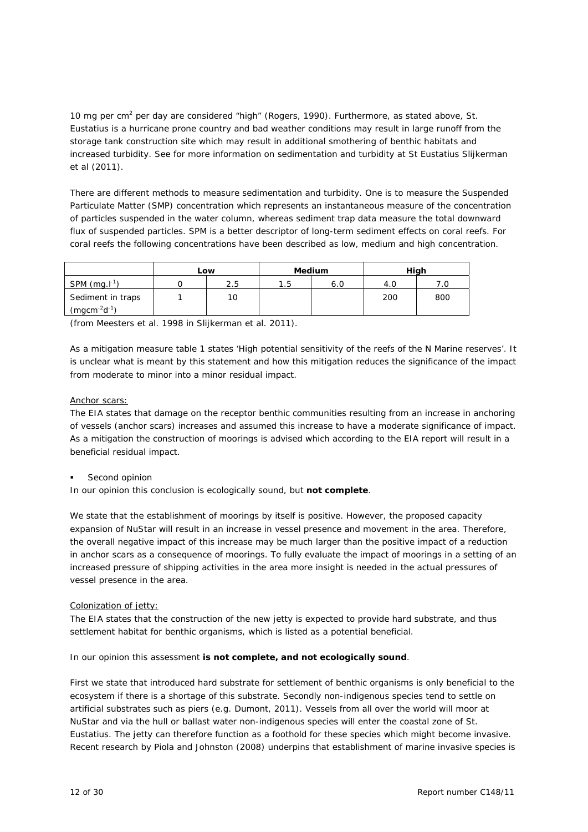10 mg per cm<sup>2</sup> per day are considered "high" (Rogers, 1990). Furthermore, as stated above, St. Eustatius is a hurricane prone country and bad weather conditions may result in large runoff from the storage tank construction site which may result in additional smothering of benthic habitats and increased turbidity. See for more information on sedimentation and turbidity at St Eustatius Slijkerman et al (2011).

There are different methods to measure sedimentation and turbidity. One is to measure the Suspended Particulate Matter (SMP) concentration which represents an instantaneous measure of the concentration of particles suspended in the water column, whereas sediment trap data measure the total downward flux of suspended particles. SPM is a better descriptor of long-term sediment effects on coral reefs. For coral reefs the following concentrations have been described as low, medium and high concentration.

|                     | Low |     | <b>Medium</b> |     | High |     |
|---------------------|-----|-----|---------------|-----|------|-----|
| SPM $(mg.l^{-1})$   |     | 2.5 | 1.5           | 6.0 | 4.0  |     |
| Sediment in traps   |     | 10  |               |     | 200  | 800 |
| $(mgcm^{-2}d^{-1})$ |     |     |               |     |      |     |

(from Meesters et al. 1998 in Slijkerman et al. 2011).

As a mitigation measure table 1 states 'High potential sensitivity of the reefs of the N Marine reserves'. It is unclear what is meant by this statement and how this mitigation reduces the significance of the impact from moderate to minor into a minor residual impact.

#### Anchor scars:

The EIA states that damage on the receptor benthic communities resulting from an increase in anchoring of vessels (anchor scars) increases and assumed this increase to have a moderate significance of impact. As a mitigation the construction of moorings is advised which according to the EIA report will result in a beneficial residual impact.

Second opinion

In our opinion this conclusion is ecologically sound, but **not complete**.

We state that the establishment of moorings by itself is positive. However, the proposed capacity expansion of NuStar will result in an increase in vessel presence and movement in the area. Therefore, the overall negative impact of this increase may be much larger than the positive impact of a reduction in anchor scars as a consequence of moorings. To fully evaluate the impact of moorings in a setting of an increased pressure of shipping activities in the area more insight is needed in the actual pressures of vessel presence in the area.

#### Colonization of jetty:

The EIA states that the construction of the new jetty is expected to provide hard substrate, and thus settlement habitat for benthic organisms, which is listed as a potential beneficial.

In our opinion this assessment **is not complete, and not ecologically sound**.

First we state that introduced hard substrate for settlement of benthic organisms is only beneficial to the ecosystem if there is a shortage of this substrate. Secondly non-indigenous species tend to settle on artificial substrates such as piers (e.g. Dumont, 2011). Vessels from all over the world will moor at NuStar and via the hull or ballast water non-indigenous species will enter the coastal zone of St. Eustatius. The jetty can therefore function as a foothold for these species which might become invasive. Recent research by Piola and Johnston (2008) underpins that establishment of marine invasive species is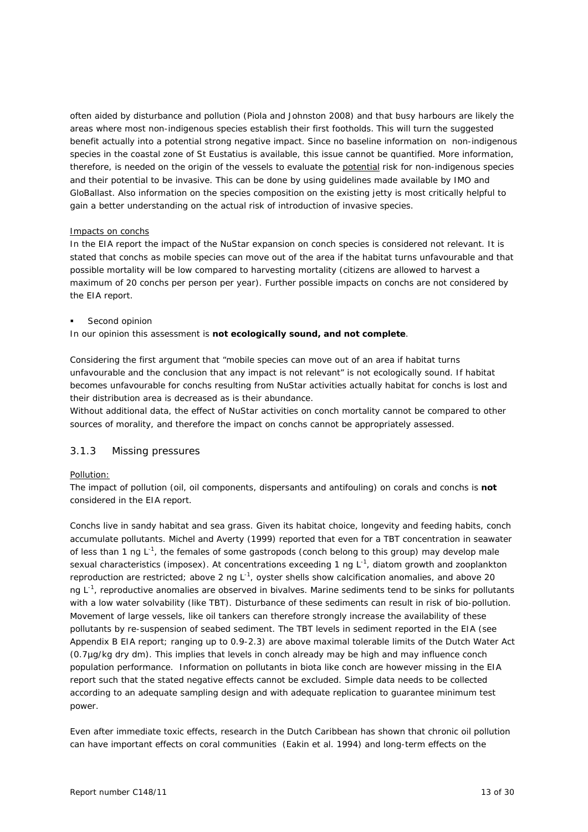often aided by disturbance and pollution (Piola and Johnston 2008) and that busy harbours are likely the areas where most non-indigenous species establish their first footholds. This will turn the suggested benefit actually into a potential strong negative impact. Since no baseline information on non-indigenous species in the coastal zone of St Eustatius is available, this issue cannot be quantified. More information, therefore, is needed on the origin of the vessels to evaluate the potential risk for non-indigenous species and their potential to be invasive. This can be done by using guidelines made available by IMO and GloBallast. Also information on the species composition on the existing jetty is most critically helpful to gain a better understanding on the actual risk of introduction of invasive species.

#### Impacts on conchs

In the EIA report the impact of the NuStar expansion on conch species is considered not relevant. It is stated that conchs as mobile species can move out of the area if the habitat turns unfavourable and that possible mortality will be low compared to harvesting mortality (citizens are allowed to harvest a maximum of 20 conchs per person per year). Further possible impacts on conchs are not considered by the EIA report.

Second opinion

In our opinion this assessment is **not ecologically sound, and not complete**.

Considering the first argument that "mobile species can move out of an area if habitat turns unfavourable and the conclusion that any impact is not relevant" is not ecologically sound. If habitat becomes unfavourable for conchs resulting from NuStar activities actually habitat for conchs is lost and their distribution area is decreased as is their abundance.

Without additional data, the effect of NuStar activities on conch mortality cannot be compared to other sources of morality, and therefore the impact on conchs cannot be appropriately assessed.

#### 3.1.3 Missing pressures

#### Pollution:

The impact of pollution (oil, oil components, dispersants and antifouling) on corals and conchs is **not** considered in the EIA report.

Conchs live in sandy habitat and sea grass. Given its habitat choice, longevity and feeding habits, conch accumulate pollutants. Michel and Averty (1999) reported that even for a TBT concentration in seawater of less than 1 ng  $L^{-1}$ , the females of some gastropods (conch belong to this group) may develop male sexual characteristics (imposex). At concentrations exceeding 1 ng  $L^{-1}$ , diatom growth and zooplankton reproduction are restricted; above 2 ng L<sup>-1</sup>, oyster shells show calcification anomalies, and above 20 ng  $L^{-1}$ , reproductive anomalies are observed in bivalves. Marine sediments tend to be sinks for pollutants with a low water solvability (like TBT). Disturbance of these sediments can result in risk of bio-pollution. Movement of large vessels, like oil tankers can therefore strongly increase the availability of these pollutants by re-suspension of seabed sediment. The TBT levels in sediment reported in the EIA (see Appendix B EIA report; ranging up to 0.9-2.3) are above maximal tolerable limits of the Dutch Water Act (0.7µg/kg dry dm). This implies that levels in conch already may be high and may influence conch population performance. Information on pollutants in biota like conch are however missing in the EIA report such that the stated negative effects cannot be excluded. Simple data needs to be collected according to an adequate sampling design and with adequate replication to guarantee minimum test power.

Even after immediate toxic effects, research in the Dutch Caribbean has shown that chronic oil pollution can have important effects on coral communities (Eakin et al. 1994) and long-term effects on the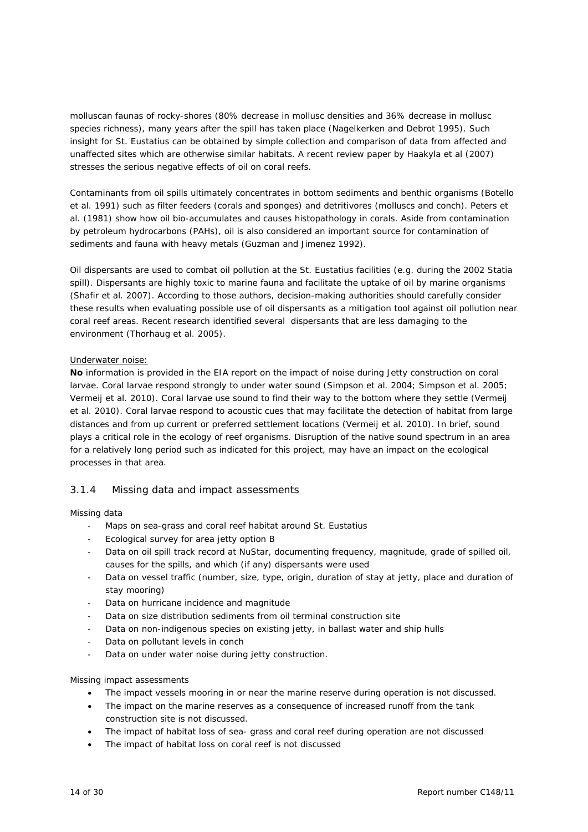molluscan faunas of rocky-shores (80% decrease in mollusc densities and 36% decrease in mollusc species richness), many years after the spill has taken place (Nagelkerken and Debrot 1995). Such insight for St. Eustatius can be obtained by simple collection and comparison of data from affected and unaffected sites which are otherwise similar habitats. A recent review paper by Haakyla et al (2007) stresses the serious negative effects of oil on coral reefs.

Contaminants from oil spills ultimately concentrates in bottom sediments and benthic organisms (Botello et al. 1991) such as filter feeders (corals and sponges) and detritivores (molluscs and conch). Peters et al. (1981) show how oil bio-accumulates and causes histopathology in corals. Aside from contamination by petroleum hydrocarbons (PAHs), oil is also considered an important source for contamination of sediments and fauna with heavy metals (Guzman and Jimenez 1992).

Oil dispersants are used to combat oil pollution at the St. Eustatius facilities (e.g. during the 2002 Statia spill). Dispersants are highly toxic to marine fauna and facilitate the uptake of oil by marine organisms (Shafir et al. 2007). According to those authors, decision-making authorities should carefully consider these results when evaluating possible use of oil dispersants as a mitigation tool against oil pollution near coral reef areas. Recent research identified several dispersants that are less damaging to the environment (Thorhaug et al. 2005).

#### Underwater noise:

**No** information is provided in the EIA report on the impact of noise during Jetty construction on coral larvae. Coral larvae respond strongly to under water sound (Simpson et al. 2004; Simpson et al. 2005; Vermeij et al. 2010). Coral larvae use sound to find their way to the bottom where they settle (Vermeij et al. 2010). Coral larvae respond to acoustic cues that may facilitate the detection of habitat from large distances and from up current or preferred settlement locations (Vermeij et al. 2010). In brief, sound plays a critical role in the ecology of reef organisms. Disruption of the native sound spectrum in an area for a relatively long period such as indicated for this project, may have an impact on the ecological processes in that area.

# 3.1.4 Missing data and impact assessments

#### Missing data

- Maps on sea-grass and coral reef habitat around St. Eustatius
- Ecological survey for area jetty option B
- Data on oil spill track record at NuStar, documenting frequency, magnitude, grade of spilled oil, causes for the spills, and which (if any) dispersants were used
- Data on vessel traffic (number, size, type, origin, duration of stay at jetty, place and duration of stay mooring)
- Data on hurricane incidence and magnitude
- Data on size distribution sediments from oil terminal construction site
- Data on non-indigenous species on existing jetty, in ballast water and ship hulls
- Data on pollutant levels in conch
- Data on under water noise during jetty construction.

#### Missing impact assessments

- The impact vessels mooring in or near the marine reserve during operation is not discussed.
- The impact on the marine reserves as a consequence of increased runoff from the tank construction site is not discussed.
- The impact of habitat loss of sea- grass and coral reef during operation are not discussed
- The impact of habitat loss on coral reef is not discussed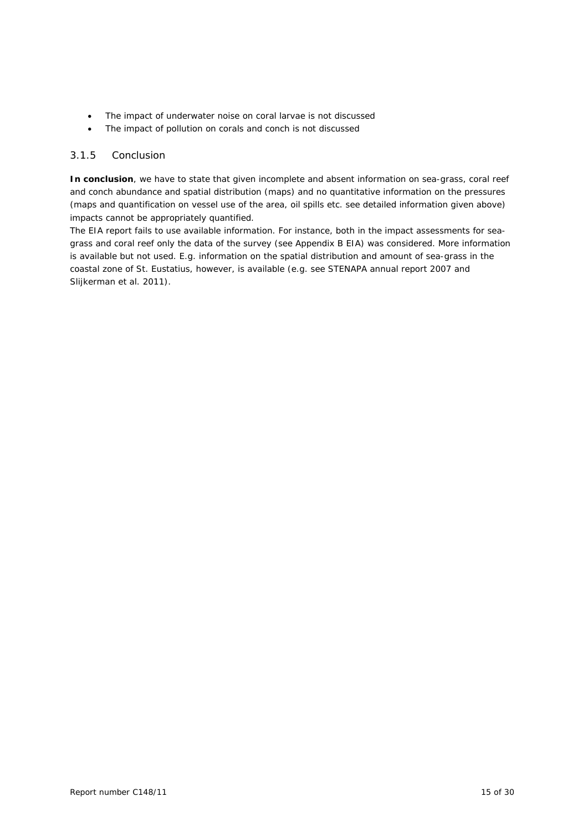- The impact of underwater noise on coral larvae is not discussed
- The impact of pollution on corals and conch is not discussed

## 3.1.5 Conclusion

**In conclusion**, we have to state that given incomplete and absent information on sea-grass, coral reef and conch abundance and spatial distribution (maps) and no quantitative information on the pressures (maps and quantification on vessel use of the area, oil spills etc. see detailed information given above) impacts cannot be appropriately quantified.

The EIA report fails to use available information. For instance, both in the impact assessments for seagrass and coral reef only the data of the survey (see Appendix B EIA) was considered. More information is available but not used. E.g. information on the spatial distribution and amount of sea-grass in the coastal zone of St. Eustatius, however, is available (e.g. see STENAPA annual report 2007 and Slijkerman et al. 2011).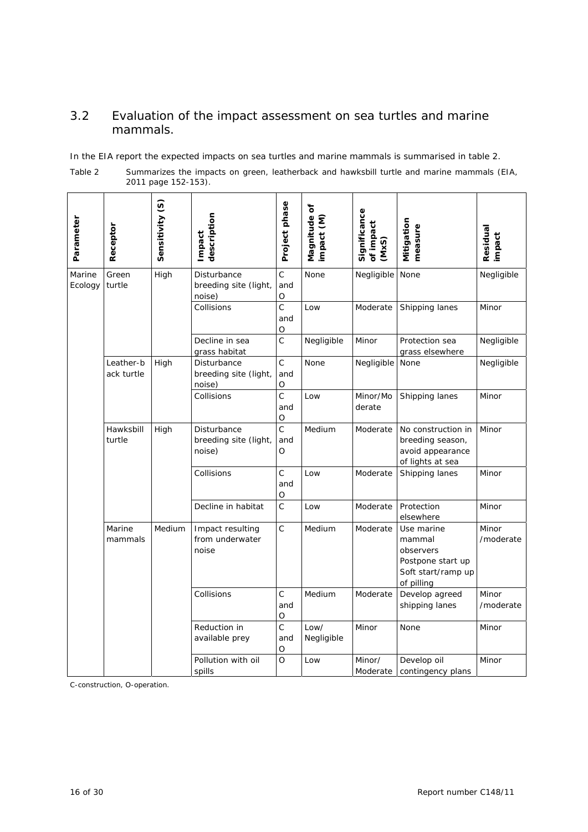# 3.2 Evaluation of the impact assessment on sea turtles and marine mammals.

In the EIA report the expected impacts on sea turtles and marine mammals is summarised in table 2.

| <i>Table 2</i> | Summarizes the impacts on green, leatherback and hawksbill turtle and marine mammals (EIA, |
|----------------|--------------------------------------------------------------------------------------------|
|                | 2011 page 152-153).                                                                        |

| Parameter         | Receptor                | Sensitivity (S) | description<br>Impact                          | Project phase                     | Magnitude of<br>mpact (M) | Significance<br>of impact<br>$(M \times S)$ | Mitigation<br>measure                                                                      | Residual<br>impact |
|-------------------|-------------------------|-----------------|------------------------------------------------|-----------------------------------|---------------------------|---------------------------------------------|--------------------------------------------------------------------------------------------|--------------------|
| Marine<br>Ecology | Green<br>turtle         | High            | Disturbance<br>breeding site (light,<br>noise) | $\mathsf C$<br>and<br>O           | None                      | Negligible                                  | None                                                                                       | Negligible         |
|                   |                         |                 | Collisions                                     | $\mathsf{C}$<br>and<br>O          | Low                       | Moderate                                    | Shipping lanes                                                                             | Minor              |
|                   |                         |                 | Decline in sea<br>grass habitat                | C                                 | Negligible                | Minor                                       | Protection sea<br>grass elsewhere                                                          | Negligible         |
|                   | Leather-b<br>ack turtle | High            | Disturbance<br>breeding site (light,<br>noise) | $\mathsf C$<br>and<br>O           | None                      | Negligible                                  | None                                                                                       | Negligible         |
|                   |                         |                 | Collisions                                     | $\mathsf{C}$<br>and<br>O          | Low                       | Minor/Mo<br>derate                          | Shipping lanes                                                                             | Minor              |
|                   | Hawksbill<br>turtle     | High            | Disturbance<br>breeding site (light,<br>noise) | $\mathsf{C}$<br>and<br>O          | Medium                    | Moderate                                    | No construction in<br>breeding season,<br>avoid appearance<br>of lights at sea             | Minor              |
|                   |                         |                 | Collisions                                     | $\mathsf{C}$<br>and<br>O          | Low                       | Moderate                                    | Shipping lanes                                                                             | Minor              |
|                   |                         |                 | Decline in habitat                             | $\mathsf C$                       | Low                       | Moderate                                    | Protection<br>elsewhere                                                                    | Minor              |
|                   | Marine<br>mammals       | Medium          | Impact resulting<br>from underwater<br>noise   | $\mathsf C$                       | Medium                    | Moderate                                    | Use marine<br>mammal<br>observers<br>Postpone start up<br>Soft start/ramp up<br>of pilling | Minor<br>/moderate |
|                   |                         |                 | Collisions                                     | $\mathsf C$<br>and<br>$\mathsf O$ | Medium                    | Moderate                                    | Develop agreed<br>shipping lanes                                                           | Minor<br>/moderate |
|                   |                         |                 | Reduction in<br>available prey                 | $\mathsf{C}$<br>and<br>O          | Low/<br>Negligible        | Minor                                       | None                                                                                       | Minor              |
|                   |                         |                 | Pollution with oil<br>spills                   | O                                 | Low                       | Minor/<br>Moderate                          | Develop oil<br>contingency plans                                                           | Minor              |

C-construction, O-operation.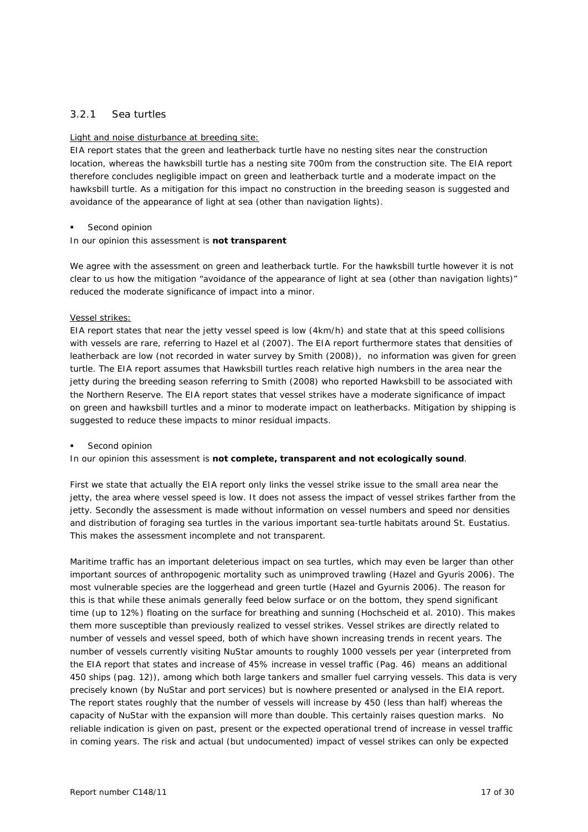# 3.2.1 Sea turtles

#### Light and noise disturbance at breeding site:

EIA report states that the green and leatherback turtle have no nesting sites near the construction location, whereas the hawksbill turtle has a nesting site 700m from the construction site. The EIA report therefore concludes negligible impact on green and leatherback turtle and a moderate impact on the hawksbill turtle. As a mitigation for this impact no construction in the breeding season is suggested and avoidance of the appearance of light at sea (other than navigation lights).

#### Second opinion

#### In our opinion this assessment is **not transparent**

We agree with the assessment on green and leatherback turtle. For the hawksbill turtle however it is not clear to us how the mitigation "avoidance of the appearance of light at sea (other than navigation lights)" reduced the moderate significance of impact into a minor.

#### Vessel strikes:

EIA report states that near the jetty vessel speed is low (4km/h) and state that at this speed collisions with vessels are rare, referring to Hazel et al (2007). The EIA report furthermore states that densities of leatherback are low (not recorded in water survey by Smith (2008)), no information was given for green turtle. The EIA report assumes that Hawksbill turtles reach relative high numbers in the area near the jetty during the breeding season referring to Smith (2008) who reported Hawksbill to be associated with the Northern Reserve. The EIA report states that vessel strikes have a moderate significance of impact on green and hawksbill turtles and a minor to moderate impact on leatherbacks. Mitigation by shipping is suggested to reduce these impacts to minor residual impacts.

#### Second opinion

In our opinion this assessment is **not complete, transparent and not ecologically sound**.

First we state that actually the EIA report only links the vessel strike issue to the small area near the jetty, the area where vessel speed is low. It does not assess the impact of vessel strikes farther from the jetty. Secondly the assessment is made without information on vessel numbers and speed nor densities and distribution of foraging sea turtles in the various important sea-turtle habitats around St. Eustatius. This makes the assessment incomplete and not transparent.

Maritime traffic has an important deleterious impact on sea turtles, which may even be larger than other important sources of anthropogenic mortality such as unimproved trawling (Hazel and Gyuris 2006). The most vulnerable species are the loggerhead and green turtle (Hazel and Gyurnis 2006). The reason for this is that while these animals generally feed below surface or on the bottom, they spend significant time (up to 12%) floating on the surface for breathing and sunning (Hochscheid et al. 2010). This makes them more susceptible than previously realized to vessel strikes. Vessel strikes are directly related to number of vessels and vessel speed, both of which have shown increasing trends in recent years. The number of vessels currently visiting NuStar amounts to roughly 1000 vessels per year (interpreted from the EIA report that states and increase of 45% increase in vessel traffic (Pag. 46) means an additional 450 ships (pag. 12)), among which both large tankers and smaller fuel carrying vessels. This data is very precisely known (by NuStar and port services) but is nowhere presented or analysed in the EIA report. The report states roughly that the number of vessels will increase by 450 (less than half) whereas the capacity of NuStar with the expansion will more than double. This certainly raises question marks. No reliable indication is given on past, present or the expected operational trend of increase in vessel traffic in coming years. The risk and actual (but undocumented) impact of vessel strikes can only be expected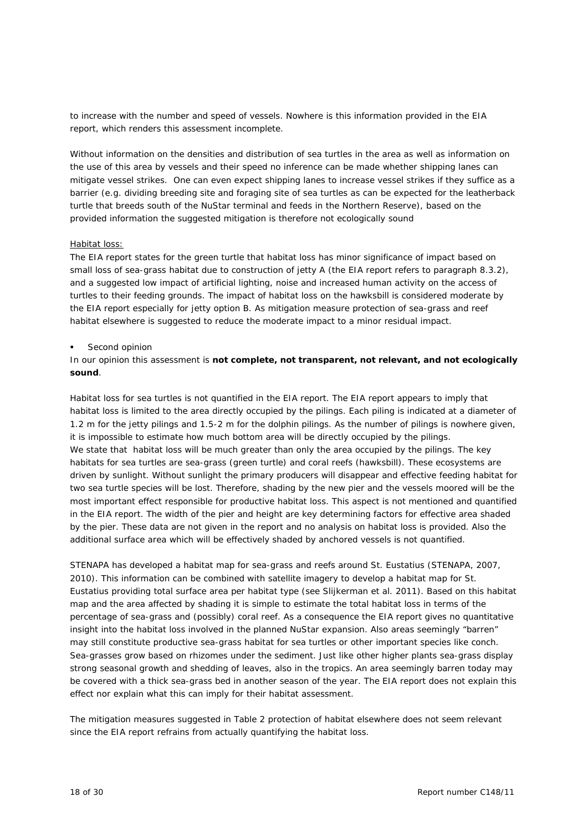to increase with the number and speed of vessels. Nowhere is this information provided in the EIA report, which renders this assessment incomplete.

Without information on the densities and distribution of sea turtles in the area as well as information on the use of this area by vessels and their speed no inference can be made whether shipping lanes can mitigate vessel strikes. One can even expect shipping lanes to increase vessel strikes if they suffice as a barrier (e.g. dividing breeding site and foraging site of sea turtles as can be expected for the leatherback turtle that breeds south of the NuStar terminal and feeds in the Northern Reserve), based on the provided information the suggested mitigation is therefore not ecologically sound

#### Habitat loss:

The EIA report states for the green turtle that habitat loss has minor significance of impact based on small loss of sea-grass habitat due to construction of jetty A (the EIA report refers to paragraph 8.3.2), and a suggested low impact of artificial lighting, noise and increased human activity on the access of turtles to their feeding grounds. The impact of habitat loss on the hawksbill is considered moderate by the EIA report especially for jetty option B. As mitigation measure protection of sea-grass and reef habitat elsewhere is suggested to reduce the moderate impact to a minor residual impact.

#### **Second opinion**

In our opinion this assessment is **not complete, not transparent, not relevant, and not ecologically sound**.

Habitat loss for sea turtles is not quantified in the EIA report. The EIA report appears to imply that habitat loss is limited to the area directly occupied by the pilings. Each piling is indicated at a diameter of 1.2 m for the jetty pilings and 1.5-2 m for the dolphin pilings. As the number of pilings is nowhere given, it is impossible to estimate how much bottom area will be directly occupied by the pilings. We state that habitat loss will be much greater than only the area occupied by the pilings. The key habitats for sea turtles are sea-grass (green turtle) and coral reefs (hawksbill). These ecosystems are driven by sunlight. Without sunlight the primary producers will disappear and effective feeding habitat for two sea turtle species will be lost. Therefore, shading by the new pier and the vessels moored will be the most important effect responsible for productive habitat loss. This aspect is not mentioned and quantified in the EIA report. The width of the pier and height are key determining factors for effective area shaded by the pier. These data are not given in the report and no analysis on habitat loss is provided. Also the additional surface area which will be effectively shaded by anchored vessels is not quantified.

STENAPA has developed a habitat map for sea-grass and reefs around St. Eustatius (STENAPA, 2007, 2010). This information can be combined with satellite imagery to develop a habitat map for St. Eustatius providing total surface area per habitat type (see Slijkerman et al. 2011). Based on this habitat map and the area affected by shading it is simple to estimate the total habitat loss in terms of the percentage of sea-grass and (possibly) coral reef. As a consequence the EIA report gives no quantitative insight into the habitat loss involved in the planned NuStar expansion. Also areas seemingly "barren" may still constitute productive sea-grass habitat for sea turtles or other important species like conch. Sea-grasses grow based on rhizomes under the sediment. Just like other higher plants sea-grass display strong seasonal growth and shedding of leaves, also in the tropics. An area seemingly barren today may be covered with a thick sea-grass bed in another season of the year. The EIA report does not explain this effect nor explain what this can imply for their habitat assessment.

The mitigation measures suggested in Table 2 protection of habitat elsewhere does not seem relevant since the EIA report refrains from actually quantifying the habitat loss.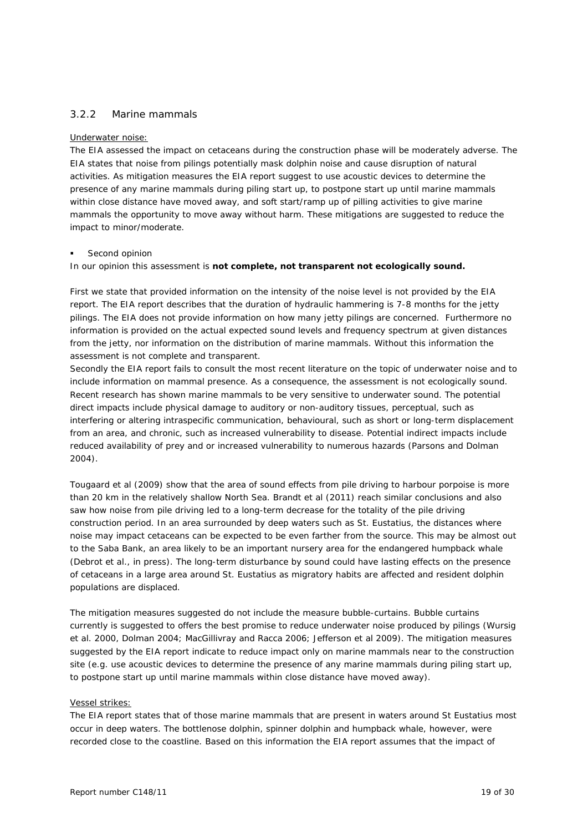# 3.2.2 Marine mammals

#### Underwater noise:

The EIA assessed the impact on cetaceans during the construction phase will be moderately adverse. The EIA states that noise from pilings potentially mask dolphin noise and cause disruption of natural activities. As mitigation measures the EIA report suggest to use acoustic devices to determine the presence of any marine mammals during piling start up, to postpone start up until marine mammals within close distance have moved away, and soft start/ramp up of pilling activities to give marine mammals the opportunity to move away without harm. These mitigations are suggested to reduce the impact to minor/moderate.

#### Second opinion

In our opinion this assessment is **not complete, not transparent not ecologically sound.** 

First we state that provided information on the intensity of the noise level is not provided by the EIA report. The EIA report describes that the duration of hydraulic hammering is 7-8 months for the jetty pilings. The EIA does not provide information on how many jetty pilings are concerned. Furthermore no information is provided on the actual expected sound levels and frequency spectrum at given distances from the jetty, nor information on the distribution of marine mammals. Without this information the assessment is not complete and transparent.

Secondly the EIA report fails to consult the most recent literature on the topic of underwater noise and to include information on mammal presence. As a consequence, the assessment is not ecologically sound. Recent research has shown marine mammals to be very sensitive to underwater sound. The potential direct impacts include physical damage to auditory or non-auditory tissues, perceptual, such as interfering or altering intraspecific communication, behavioural, such as short or long-term displacement from an area, and chronic, such as increased vulnerability to disease. Potential indirect impacts include reduced availability of prey and or increased vulnerability to numerous hazards (Parsons and Dolman 2004).

Tougaard et al (2009) show that the area of sound effects from pile driving to harbour porpoise is more than 20 km in the relatively shallow North Sea. Brandt et al (2011) reach similar conclusions and also saw how noise from pile driving led to a long-term decrease for the totality of the pile driving construction period. In an area surrounded by deep waters such as St. Eustatius, the distances where noise may impact cetaceans can be expected to be even farther from the source. This may be almost out to the Saba Bank, an area likely to be an important nursery area for the endangered humpback whale (Debrot et al., in press). The long-term disturbance by sound could have lasting effects on the presence of cetaceans in a large area around St. Eustatius as migratory habits are affected and resident dolphin populations are displaced.

The mitigation measures suggested do not include the measure bubble-curtains. Bubble curtains currently is suggested to offers the best promise to reduce underwater noise produced by pilings (Wursig et al. 2000, Dolman 2004; MacGillivray and Racca 2006; Jefferson et al 2009). The mitigation measures suggested by the EIA report indicate to reduce impact only on marine mammals near to the construction site (e.g. use acoustic devices to determine the presence of any marine mammals during piling start up, to postpone start up until marine mammals within close distance have moved away).

#### Vessel strikes:

The EIA report states that of those marine mammals that are present in waters around St Eustatius most occur in deep waters. The bottlenose dolphin, spinner dolphin and humpback whale, however, were recorded close to the coastline. Based on this information the EIA report assumes that the impact of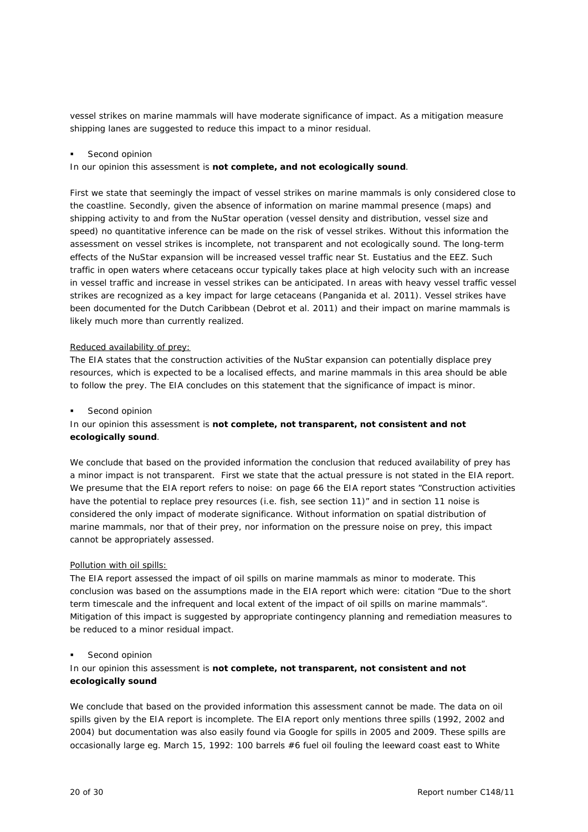vessel strikes on marine mammals will have moderate significance of impact. As a mitigation measure shipping lanes are suggested to reduce this impact to a minor residual.

#### Second opinion

In our opinion this assessment is **not complete, and not ecologically sound**.

First we state that seemingly the impact of vessel strikes on marine mammals is only considered close to the coastline. Secondly, given the absence of information on marine mammal presence (maps) and shipping activity to and from the NuStar operation (vessel density and distribution, vessel size and speed) no quantitative inference can be made on the risk of vessel strikes. Without this information the assessment on vessel strikes is incomplete, not transparent and not ecologically sound. The long-term effects of the NuStar expansion will be increased vessel traffic near St. Eustatius and the EEZ. Such traffic in open waters where cetaceans occur typically takes place at high velocity such with an increase in vessel traffic and increase in vessel strikes can be anticipated. In areas with heavy vessel traffic vessel strikes are recognized as a key impact for large cetaceans (Panganida et al. 2011). Vessel strikes have been documented for the Dutch Caribbean (Debrot et al. 2011) and their impact on marine mammals is likely much more than currently realized.

#### Reduced availability of prey:

The EIA states that the construction activities of the NuStar expansion can potentially displace prey resources, which is expected to be a localised effects, and marine mammals in this area should be able to follow the prey. The EIA concludes on this statement that the significance of impact is minor.

#### Second opinion

## In our opinion this assessment is **not complete, not transparent, not consistent and not ecologically sound**.

We conclude that based on the provided information the conclusion that reduced availability of prey has a minor impact is not transparent. First we state that the actual pressure is not stated in the EIA report. We presume that the EIA report refers to noise: on page 66 the EIA report states "Construction activities" have the potential to replace prey resources (i.e. fish, see section 11)" and in section 11 noise is considered the only impact of moderate significance. Without information on spatial distribution of marine mammals, nor that of their prey, nor information on the pressure noise on prey, this impact cannot be appropriately assessed.

#### Pollution with oil spills:

The EIA report assessed the impact of oil spills on marine mammals as minor to moderate. This conclusion was based on the assumptions made in the EIA report which were: citation "Due to the short term timescale and the infrequent and local extent of the impact of oil spills on marine mammals". Mitigation of this impact is suggested by appropriate contingency planning and remediation measures to be reduced to a minor residual impact.

#### Second opinion

## In our opinion this assessment is **not complete, not transparent, not consistent and not ecologically sound**

We conclude that based on the provided information this assessment cannot be made. The data on oil spills given by the EIA report is incomplete. The EIA report only mentions three spills (1992, 2002 and 2004) but documentation was also easily found via Google for spills in 2005 and 2009. These spills are occasionally large eg. March 15, 1992: 100 barrels #6 fuel oil fouling the leeward coast east to White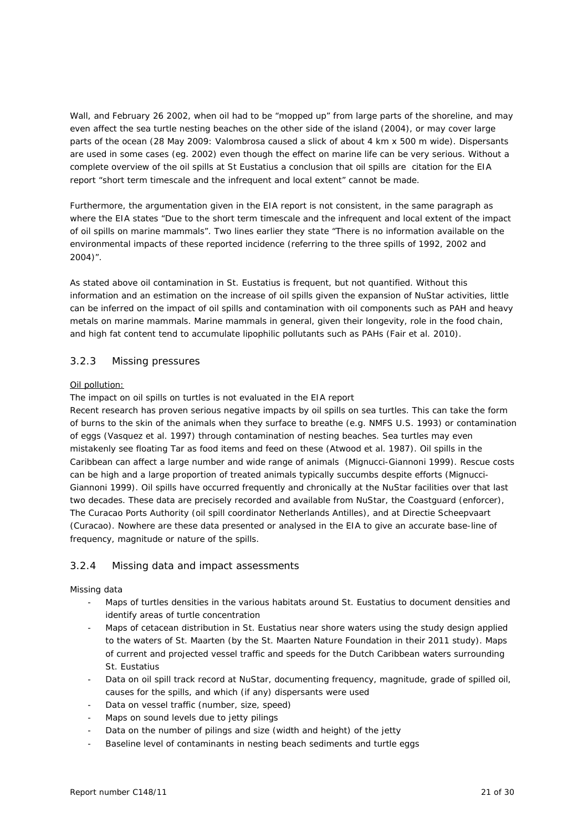Wall, and February 26 2002, when oil had to be "mopped up" from large parts of the shoreline, and may even affect the sea turtle nesting beaches on the other side of the island (2004), or may cover large parts of the ocean (28 May 2009: Valombrosa caused a slick of about 4 km x 500 m wide). Dispersants are used in some cases (eg. 2002) even though the effect on marine life can be very serious. Without a complete overview of the oil spills at St Eustatius a conclusion that oil spills are citation for the EIA report "short term timescale and the infrequent and local extent" cannot be made.

Furthermore, the argumentation given in the EIA report is not consistent, in the same paragraph as where the EIA states "Due to the short term timescale and the infrequent and local extent of the impact of oil spills on marine mammals". Two lines earlier they state "There is no information available on the environmental impacts of these reported incidence (referring to the three spills of 1992, 2002 and 2004)".

As stated above oil contamination in St. Eustatius is frequent, but not quantified. Without this information and an estimation on the increase of oil spills given the expansion of NuStar activities, little can be inferred on the impact of oil spills and contamination with oil components such as PAH and heavy metals on marine mammals. Marine mammals in general, given their longevity, role in the food chain, and high fat content tend to accumulate lipophilic pollutants such as PAHs (Fair et al. 2010).

# 3.2.3 Missing pressures

## Oil pollution:

The impact on oil spills on turtles is not evaluated in the EIA report

Recent research has proven serious negative impacts by oil spills on sea turtles. This can take the form of burns to the skin of the animals when they surface to breathe (e.g. NMFS U.S. 1993) or contamination of eggs (Vasquez et al. 1997) through contamination of nesting beaches. Sea turtles may even mistakenly see floating Tar as food items and feed on these (Atwood et al. 1987). Oil spills in the Caribbean can affect a large number and wide range of animals (Mignucci-Giannoni 1999). Rescue costs can be high and a large proportion of treated animals typically succumbs despite efforts (Mignucci-Giannoni 1999). Oil spills have occurred frequently and chronically at the NuStar facilities over that last two decades. These data are precisely recorded and available from NuStar, the Coastguard (enforcer), The Curacao Ports Authority (oil spill coordinator Netherlands Antilles), and at Directie Scheepvaart (Curacao). Nowhere are these data presented or analysed in the EIA to give an accurate base-line of frequency, magnitude or nature of the spills.

# 3.2.4 Missing data and impact assessments

#### Missing data

- Maps of turtles densities in the various habitats around St. Eustatius to document densities and identify areas of turtle concentration
- Maps of cetacean distribution in St. Eustatius near shore waters using the study design applied to the waters of St. Maarten (by the St. Maarten Nature Foundation in their 2011 study). Maps of current and projected vessel traffic and speeds for the Dutch Caribbean waters surrounding St. Eustatius
- Data on oil spill track record at NuStar, documenting frequency, magnitude, grade of spilled oil, causes for the spills, and which (if any) dispersants were used
- Data on vessel traffic (number, size, speed)
- Maps on sound levels due to jetty pilings
- Data on the number of pilings and size (width and height) of the jetty
- Baseline level of contaminants in nesting beach sediments and turtle eggs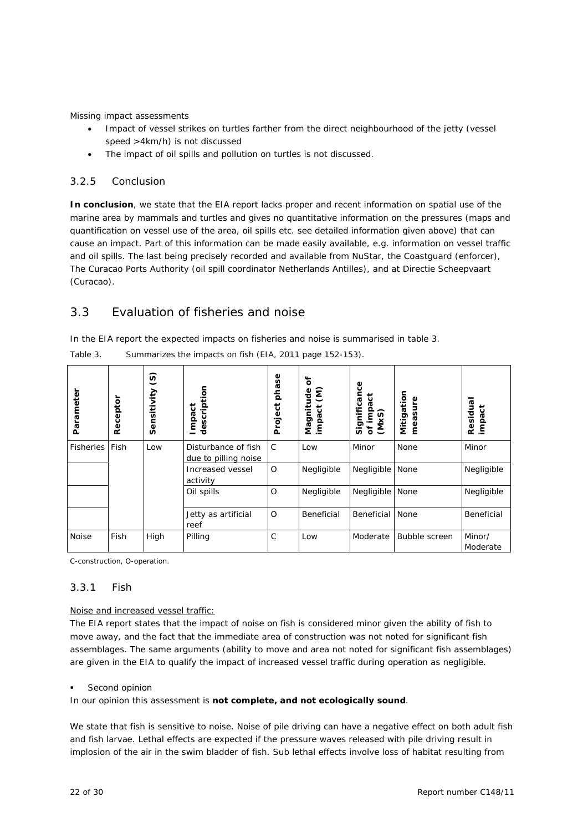Missing impact assessments

- Impact of vessel strikes on turtles farther from the direct neighbourhood of the jetty (vessel speed >4km/h) is not discussed
- The impact of oil spills and pollution on turtles is not discussed.

## 3.2.5 Conclusion

**In conclusion**, we state that the EIA report lacks proper and recent information on spatial use of the marine area by mammals and turtles and gives no quantitative information on the pressures (maps and quantification on vessel use of the area, oil spills etc. see detailed information given above) that can cause an impact. Part of this information can be made easily available, e.g. information on vessel traffic and oil spills. The last being precisely recorded and available from NuStar, the Coastguard (enforcer), The Curacao Ports Authority (oil spill coordinator Netherlands Antilles), and at Directie Scheepvaart (Curacao).

# 3.3 Evaluation of fisheries and noise

In the EIA report the expected impacts on fisheries and noise is summarised in table 3.

| Parameter        | Receptor | $\widehat{S}$<br>Sensitivity | description<br>Impact                       | phase<br>Project | ð<br>ξ<br>Magnitude<br>impact (M) | ပ္ပ<br>Significan<br>of impact<br>(MxS) | Mitigation<br>measure | Residual<br>impact |
|------------------|----------|------------------------------|---------------------------------------------|------------------|-----------------------------------|-----------------------------------------|-----------------------|--------------------|
| <b>Fisheries</b> | Fish     | Low                          | Disturbance of fish<br>due to pilling noise | $\mathsf{C}$     | Low                               | Minor                                   | None                  | Minor              |
|                  |          |                              | Increased vessel<br>activity                | $\circ$          | Negligible                        | Negligible                              | None                  | Negligible         |
|                  |          |                              | Oil spills                                  | $\circ$          | Negligible                        | Negligible                              | None                  | Negligible         |
|                  |          |                              | Jetty as artificial<br>reef                 | $\circ$          | Beneficial                        | Beneficial                              | None                  | Beneficial         |
| Noise            | Fish     | High                         | Pilling                                     | $\mathsf{C}$     | Low                               | Moderate                                | Bubble screen         | Minor/<br>Moderate |

*Table 3. Summarizes the impacts on fish (EIA, 2011 page 152-153).* 

C-construction, O-operation.

#### 3.3.1 Fish

#### Noise and increased vessel traffic:

The EIA report states that the impact of noise on fish is considered minor given the ability of fish to move away, and the fact that the immediate area of construction was not noted for significant fish assemblages. The same arguments (ability to move and area not noted for significant fish assemblages) are given in the EIA to qualify the impact of increased vessel traffic during operation as negligible.

#### Second opinion

In our opinion this assessment is **not complete, and not ecologically sound**.

We state that fish is sensitive to noise. Noise of pile driving can have a negative effect on both adult fish and fish larvae. Lethal effects are expected if the pressure waves released with pile driving result in implosion of the air in the swim bladder of fish. Sub lethal effects involve loss of habitat resulting from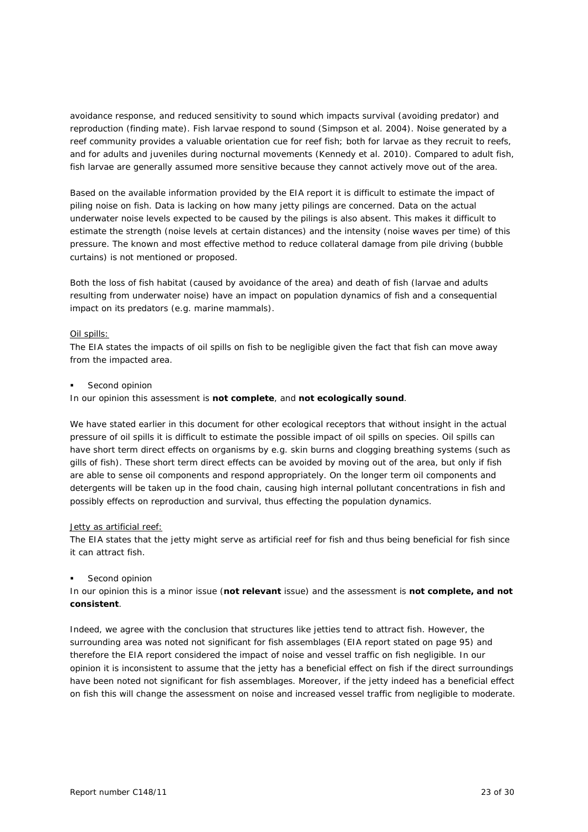avoidance response, and reduced sensitivity to sound which impacts survival (avoiding predator) and reproduction (finding mate). Fish larvae respond to sound (Simpson et al. 2004). Noise generated by a reef community provides a valuable orientation cue for reef fish; both for larvae as they recruit to reefs, and for adults and juveniles during nocturnal movements (Kennedy et al. 2010). Compared to adult fish, fish larvae are generally assumed more sensitive because they cannot actively move out of the area.

Based on the available information provided by the EIA report it is difficult to estimate the impact of piling noise on fish. Data is lacking on how many jetty pilings are concerned. Data on the actual underwater noise levels expected to be caused by the pilings is also absent. This makes it difficult to estimate the strength (noise levels at certain distances) and the intensity (noise waves per time) of this pressure. The known and most effective method to reduce collateral damage from pile driving (bubble curtains) is not mentioned or proposed.

Both the loss of fish habitat (caused by avoidance of the area) and death of fish (larvae and adults resulting from underwater noise) have an impact on population dynamics of fish and a consequential impact on its predators (e.g. marine mammals).

#### Oil spills:

The EIA states the impacts of oil spills on fish to be negligible given the fact that fish can move away from the impacted area.

#### Second opinion

In our opinion this assessment is **not complete**, and **not ecologically sound**.

We have stated earlier in this document for other ecological receptors that without insight in the actual pressure of oil spills it is difficult to estimate the possible impact of oil spills on species. Oil spills can have short term direct effects on organisms by e.g. skin burns and clogging breathing systems (such as gills of fish). These short term direct effects can be avoided by moving out of the area, but only if fish are able to sense oil components and respond appropriately. On the longer term oil components and detergents will be taken up in the food chain, causing high internal pollutant concentrations in fish and possibly effects on reproduction and survival, thus effecting the population dynamics.

#### Jetty as artificial reef:

The EIA states that the jetty might serve as artificial reef for fish and thus being beneficial for fish since it can attract fish.

#### Second opinion

In our opinion this is a minor issue (**not relevant** issue) and the assessment is **not complete, and not consistent**.

Indeed, we agree with the conclusion that structures like jetties tend to attract fish. However, the surrounding area was noted not significant for fish assemblages (EIA report stated on page 95) and therefore the EIA report considered the impact of noise and vessel traffic on fish negligible. In our opinion it is inconsistent to assume that the jetty has a beneficial effect on fish if the direct surroundings have been noted not significant for fish assemblages. Moreover, if the jetty indeed has a beneficial effect on fish this will change the assessment on noise and increased vessel traffic from negligible to moderate.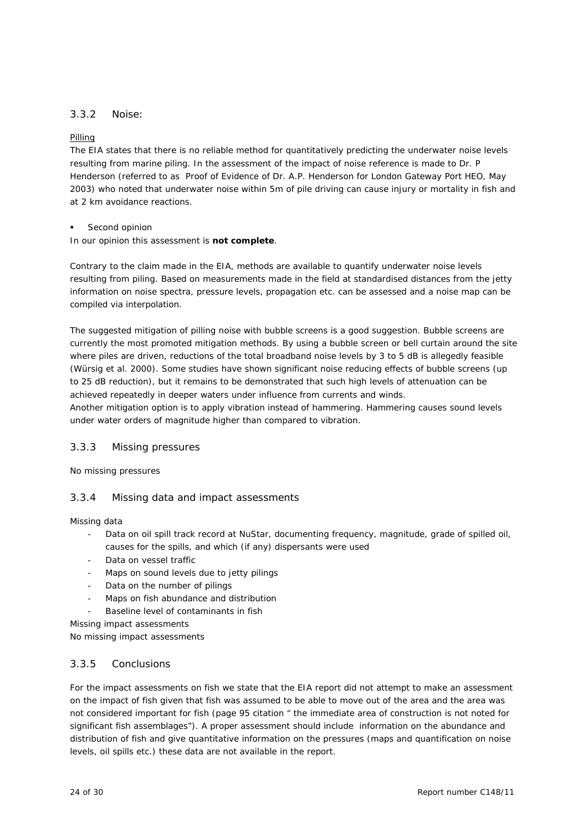# 3.3.2 Noise:

#### Pilling

The EIA states that there is no reliable method for quantitatively predicting the underwater noise levels resulting from marine piling. In the assessment of the impact of noise reference is made to Dr. P Henderson (referred to as Proof of Evidence of Dr. A.P. Henderson for London Gateway Port HEO, May 2003) who noted that underwater noise within 5m of pile driving can cause injury or mortality in fish and at 2 km avoidance reactions.

Second opinion

In our opinion this assessment is **not complete**.

Contrary to the claim made in the EIA, methods are available to quantify underwater noise levels resulting from piling. Based on measurements made in the field at standardised distances from the jetty information on noise spectra, pressure levels, propagation etc. can be assessed and a noise map can be compiled via interpolation.

The suggested mitigation of pilling noise with bubble screens is a good suggestion. Bubble screens are currently the most promoted mitigation methods. By using a bubble screen or bell curtain around the site where piles are driven, reductions of the total broadband noise levels by 3 to 5 dB is allegedly feasible (Würsig et al. 2000). Some studies have shown significant noise reducing effects of bubble screens (up to 25 dB reduction), but it remains to be demonstrated that such high levels of attenuation can be achieved repeatedly in deeper waters under influence from currents and winds.

Another mitigation option is to apply vibration instead of hammering. Hammering causes sound levels under water orders of magnitude higher than compared to vibration.

## 3.3.3 Missing pressures

No missing pressures

# 3.3.4 Missing data and impact assessments

Missing data

- Data on oil spill track record at NuStar, documenting frequency, magnitude, grade of spilled oil, causes for the spills, and which (if any) dispersants were used
- Data on vessel traffic
- Maps on sound levels due to jetty pilings
- Data on the number of pilings
- Maps on fish abundance and distribution
- Baseline level of contaminants in fish

Missing impact assessments

No missing impact assessments

#### 3.3.5 Conclusions

For the impact assessments on fish we state that the EIA report did not attempt to make an assessment on the impact of fish given that fish was assumed to be able to move out of the area and the area was not considered important for fish (page 95 citation " the immediate area of construction is not noted for significant fish assemblages"). A proper assessment should include information on the abundance and distribution of fish and give quantitative information on the pressures (maps and quantification on noise levels, oil spills etc.) these data are not available in the report.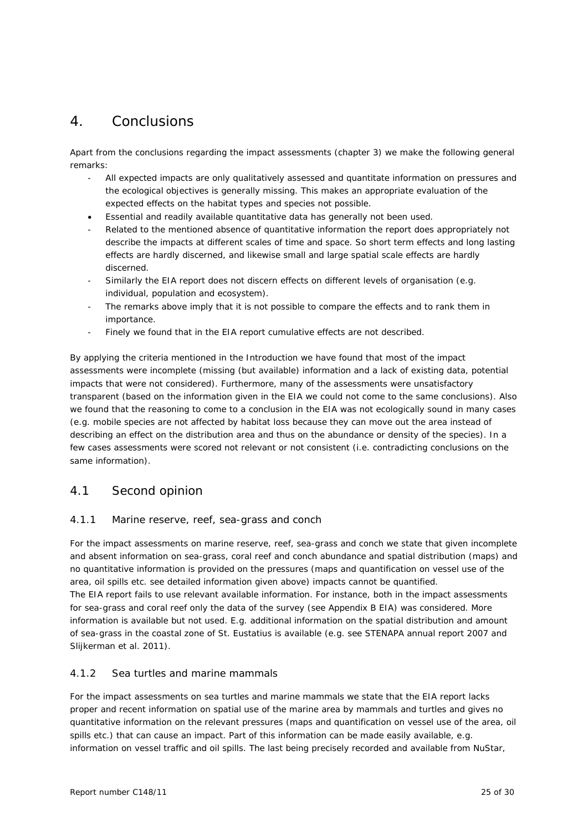# 4. Conclusions

Apart from the conclusions regarding the impact assessments (chapter 3) we make the following general remarks:

- All expected impacts are only qualitatively assessed and quantitate information on pressures and the ecological objectives is generally missing. This makes an appropriate evaluation of the expected effects on the habitat types and species not possible.
- Essential and readily available quantitative data has generally not been used.
- Related to the mentioned absence of quantitative information the report does appropriately not describe the impacts at different scales of time and space. So short term effects and long lasting effects are hardly discerned, and likewise small and large spatial scale effects are hardly discerned.
- Similarly the EIA report does not discern effects on different levels of organisation (e.g. individual, population and ecosystem).
- The remarks above imply that it is not possible to compare the effects and to rank them in importance.
- Finely we found that in the EIA report cumulative effects are not described.

By applying the criteria mentioned in the Introduction we have found that most of the impact assessments were incomplete (missing (but available) information and a lack of existing data, potential impacts that were not considered). Furthermore, many of the assessments were unsatisfactory transparent (based on the information given in the EIA we could not come to the same conclusions). Also we found that the reasoning to come to a conclusion in the EIA was not ecologically sound in many cases (e.g. mobile species are not affected by habitat loss because they can move out the area instead of describing an effect on the distribution area and thus on the abundance or density of the species). In a few cases assessments were scored not relevant or not consistent (i.e. contradicting conclusions on the same information).

# 4.1 Second opinion

# 4.1.1 Marine reserve, reef, sea-grass and conch

For the impact assessments on marine reserve, reef, sea-grass and conch we state that given incomplete and absent information on sea-grass, coral reef and conch abundance and spatial distribution (maps) and no quantitative information is provided on the pressures (maps and quantification on vessel use of the area, oil spills etc. see detailed information given above) impacts cannot be quantified.

The EIA report fails to use relevant available information. For instance, both in the impact assessments for sea-grass and coral reef only the data of the survey (see Appendix B EIA) was considered. More information is available but not used. E.g. additional information on the spatial distribution and amount of sea-grass in the coastal zone of St. Eustatius is available (e.g. see STENAPA annual report 2007 and Slijkerman et al. 2011).

# 4.1.2 Sea turtles and marine mammals

For the impact assessments on sea turtles and marine mammals we state that the EIA report lacks proper and recent information on spatial use of the marine area by mammals and turtles and gives no quantitative information on the relevant pressures (maps and quantification on vessel use of the area, oil spills etc.) that can cause an impact. Part of this information can be made easily available, e.g. information on vessel traffic and oil spills. The last being precisely recorded and available from NuStar,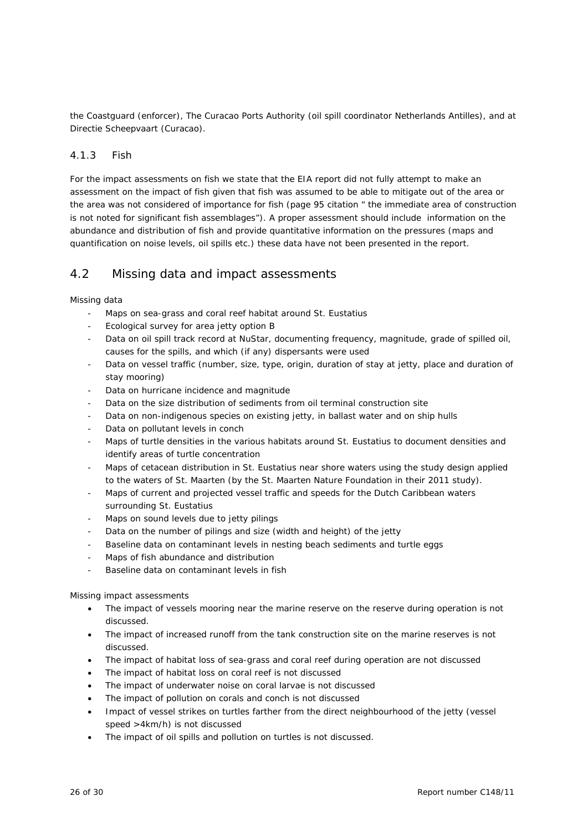the Coastguard (enforcer), The Curacao Ports Authority (oil spill coordinator Netherlands Antilles), and at Directie Scheepvaart (Curacao).

# 4.1.3 Fish

For the impact assessments on fish we state that the EIA report did not fully attempt to make an assessment on the impact of fish given that fish was assumed to be able to mitigate out of the area or the area was not considered of importance for fish (page 95 citation " the immediate area of construction is not noted for significant fish assemblages"). A proper assessment should include information on the abundance and distribution of fish and provide quantitative information on the pressures (maps and quantification on noise levels, oil spills etc.) these data have not been presented in the report.

# 4.2 Missing data and impact assessments

Missing data

- Maps on sea-grass and coral reef habitat around St. Eustatius
- Ecological survey for area jetty option B
- Data on oil spill track record at NuStar, documenting frequency, magnitude, grade of spilled oil, causes for the spills, and which (if any) dispersants were used
- Data on vessel traffic (number, size, type, origin, duration of stay at jetty, place and duration of stay mooring)
- Data on hurricane incidence and magnitude
- Data on the size distribution of sediments from oil terminal construction site
- Data on non-indigenous species on existing jetty, in ballast water and on ship hulls
- Data on pollutant levels in conch
- Maps of turtle densities in the various habitats around St. Eustatius to document densities and identify areas of turtle concentration
- Maps of cetacean distribution in St. Eustatius near shore waters using the study design applied to the waters of St. Maarten (by the St. Maarten Nature Foundation in their 2011 study).
- Maps of current and projected vessel traffic and speeds for the Dutch Caribbean waters surrounding St. Eustatius
- Maps on sound levels due to jetty pilings
- Data on the number of pilings and size (width and height) of the jetty
- Baseline data on contaminant levels in nesting beach sediments and turtle eggs
- Maps of fish abundance and distribution
- Baseline data on contaminant levels in fish

Missing impact assessments

- The impact of vessels mooring near the marine reserve on the reserve during operation is not discussed.
- The impact of increased runoff from the tank construction site on the marine reserves is not discussed.
- The impact of habitat loss of sea-grass and coral reef during operation are not discussed
- The impact of habitat loss on coral reef is not discussed
- The impact of underwater noise on coral larvae is not discussed
- The impact of pollution on corals and conch is not discussed
- Impact of vessel strikes on turtles farther from the direct neighbourhood of the jetty (vessel speed >4km/h) is not discussed
- The impact of oil spills and pollution on turtles is not discussed.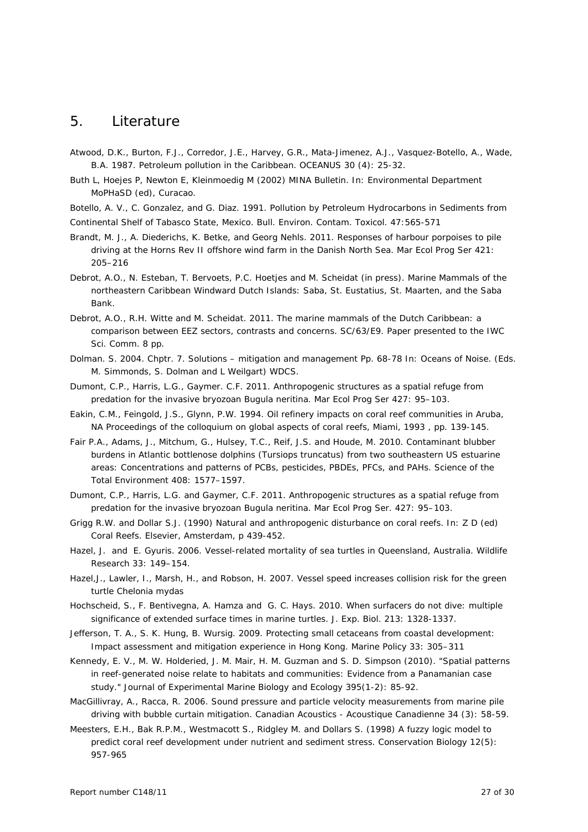# 5. Literature

- Atwood, D.K., Burton, F.J., Corredor, J.E., Harvey, G.R., Mata-Jimenez, A.J., Vasquez-Botello, A., Wade, B.A. 1987. Petroleum pollution in the Caribbean. OCEANUS 30 (4): 25-32.
- Buth L, Hoejes P, Newton E, Kleinmoedig M (2002) MINA Bulletin. In: Environmental Department MoPHaSD (ed), Curacao.
- Botello, A. V., C. Gonzalez, and G. Diaz. 1991. Pollution by Petroleum Hydrocarbons in Sediments from
- Continental Shelf of Tabasco State, Mexico. Bull. Environ. Contam. Toxicol. 47:565-571
- Brandt, M. J., A. Diederichs, K. Betke, and Georg Nehls. 2011. Responses of harbour porpoises to pile driving at the Horns Rev II offshore wind farm in the Danish North Sea. Mar Ecol Prog Ser 421: 205–216
- Debrot, A.O., N. Esteban, T. Bervoets, P.C. Hoetjes and M. Scheidat (in press). Marine Mammals of the northeastern Caribbean Windward Dutch Islands: Saba, St. Eustatius, St. Maarten, and the Saba Bank.
- Debrot, A.O., R.H. Witte and M. Scheidat. 2011. The marine mammals of the Dutch Caribbean: a comparison between EEZ sectors, contrasts and concerns. SC/63/E9. Paper presented to the IWC Sci. Comm. 8 pp.
- Dolman. S. 2004. Chptr. 7. Solutions mitigation and management Pp. 68-78 In: Oceans of Noise. (Eds. M. Simmonds, S. Dolman and L Weilgart) WDCS.
- Dumont, C.P., Harris, L.G., Gaymer. C.F. 2011. Anthropogenic structures as a spatial refuge from predation for the invasive bryozoan Bugula neritina. Mar Ecol Prog Ser 427: 95–103.
- Eakin, C.M., Feingold, J.S., Glynn, P.W. 1994. Oil refinery impacts on coral reef communities in Aruba, NA Proceedings of the colloquium on global aspects of coral reefs, Miami, 1993 , pp. 139-145.
- Fair P.A., Adams, J., Mitchum, G., Hulsey, T.C., Reif, J.S. and Houde, M. 2010. Contaminant blubber burdens in Atlantic bottlenose dolphins (Tursiops truncatus) from two southeastern US estuarine areas: Concentrations and patterns of PCBs, pesticides, PBDEs, PFCs, and PAHs. Science of the Total Environment 408: 1577–1597.
- Dumont, C.P., Harris, L.G. and Gaymer, C.F. 2011. Anthropogenic structures as a spatial refuge from predation for the invasive bryozoan Bugula neritina. Mar Ecol Prog Ser. 427: 95–103.
- Grigg R.W. and Dollar S.J. (1990) Natural and anthropogenic disturbance on coral reefs. In: Z D (ed) Coral Reefs. Elsevier, Amsterdam, p 439-452.
- Hazel, J. and E. Gyuris. 2006. Vessel-related mortality of sea turtles in Queensland, Australia. Wildlife Research 33: 149–154.
- Hazel,J., Lawler, I., Marsh, H., and Robson, H. 2007. Vessel speed increases collision risk for the green turtle Chelonia mydas
- Hochscheid, S., F. Bentivegna, A. Hamza and G. C. Hays. 2010. When surfacers do not dive: multiple significance of extended surface times in marine turtles. J. Exp. Biol. 213: 1328-1337.
- Jefferson, T. A., S. K. Hung, B. Wursig. 2009. Protecting small cetaceans from coastal development: Impact assessment and mitigation experience in Hong Kong. Marine Policy 33: 305–311
- Kennedy, E. V., M. W. Holderied, J. M. Mair, H. M. Guzman and S. D. Simpson (2010). "Spatial patterns in reef-generated noise relate to habitats and communities: Evidence from a Panamanian case study." Journal of Experimental Marine Biology and Ecology 395(1-2): 85-92.
- MacGillivray, A., Racca, R. 2006. Sound pressure and particle velocity measurements from marine pile driving with bubble curtain mitigation. Canadian Acoustics - Acoustique Canadienne 34 (3): 58-59.
- Meesters, E.H., Bak R.P.M., Westmacott S., Ridgley M. and Dollars S. (1998) A fuzzy logic model to predict coral reef development under nutrient and sediment stress. Conservation Biology 12(5): 957-965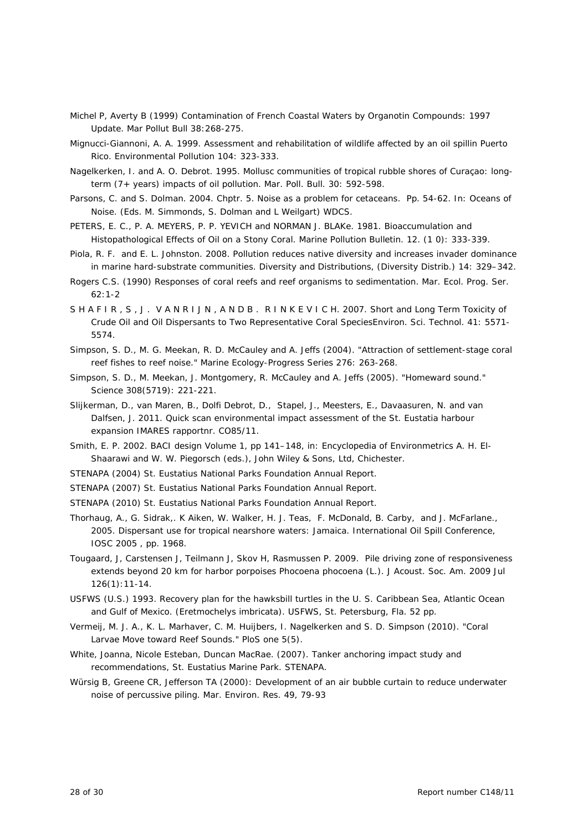- Michel P, Averty B (1999) Contamination of French Coastal Waters by Organotin Compounds: 1997 Update. Mar Pollut Bull 38:268-275.
- Mignucci-Giannoni, A. A. 1999. Assessment and rehabilitation of wildlife affected by an oil spillin Puerto Rico. Environmental Pollution 104: 323-333.
- Nagelkerken, I. and A. O. Debrot. 1995. Mollusc communities of tropical rubble shores of Curaçao: longterm (7+ years) impacts of oil pollution. Mar. Poll. Bull. 30: 592-598.
- Parsons, C. and S. Dolman. 2004. Chptr. 5. Noise as a problem for cetaceans. Pp. 54-62. In: Oceans of Noise. (Eds. M. Simmonds, S. Dolman and L Weilgart) WDCS.
- PETERS, E. C., P. A. MEYERS, P. P. YEVICH and NORMAN J. BLAKe. 1981. Bioaccumulation and Histopathological Effects of Oil on a Stony Coral. Marine Pollution Bulletin. 12. (1 0): 333-339.
- Piola, R. F. and E. L. Johnston. 2008. Pollution reduces native diversity and increases invader dominance in marine hard-substrate communities. Diversity and Distributions, (Diversity Distrib.) 14: 329–342.
- Rogers C.S. (1990) Responses of coral reefs and reef organisms to sedimentation. Mar. Ecol. Prog. Ser. 62:1-2
- SHAFIR, S.J. VANRIJN, ANDB. RINKEVICH. 2007. Short and Long Term Toxicity of Crude Oil and Oil Dispersants to Two Representative Coral SpeciesEnviron. Sci. Technol. 41: 5571- 5574.
- Simpson, S. D., M. G. Meekan, R. D. McCauley and A. Jeffs (2004). "Attraction of settlement-stage coral reef fishes to reef noise." Marine Ecology-Progress Series 276: 263-268.
- Simpson, S. D., M. Meekan, J. Montgomery, R. McCauley and A. Jeffs (2005). "Homeward sound." Science 308(5719): 221-221.
- Slijkerman, D., van Maren, B., Dolfi Debrot, D., Stapel, J., Meesters, E., Davaasuren, N. and van Dalfsen, J. 2011. Quick scan environmental impact assessment of the St. Eustatia harbour expansion IMARES rapportnr. CO85/11.
- Smith, E. P. 2002. BACI design Volume 1, pp 141–148, in: Encyclopedia of Environmetrics A. H. El-Shaarawi and W. W. Piegorsch (eds.), John Wiley & Sons, Ltd, Chichester.
- STENAPA (2004) St. Eustatius National Parks Foundation Annual Report.
- STENAPA (2007) St. Eustatius National Parks Foundation Annual Report.
- STENAPA (2010) St. Eustatius National Parks Foundation Annual Report.
- Thorhaug, A., G. Sidrak,. K Aiken, W. Walker, H. J. Teas, F. McDonald, B. Carby, and J. McFarlane., 2005. Dispersant use for tropical nearshore waters: Jamaica. International Oil Spill Conference, IOSC 2005 , pp. 1968.
- Tougaard, J, Carstensen J, Teilmann J, Skov H, Rasmussen P. 2009. Pile driving zone of responsiveness extends beyond 20 km for harbor porpoises Phocoena phocoena (L.). J Acoust. Soc. Am. 2009 Jul 126(1):11-14.
- USFWS (U.S.) 1993. Recovery plan for the hawksbill turtles in the U. S. Caribbean Sea, Atlantic Ocean and Gulf of Mexico. (Eretmochelys imbricata). USFWS, St. Petersburg, Fla. 52 pp.
- Vermeij, M. J. A., K. L. Marhaver, C. M. Huijbers, I. Nagelkerken and S. D. Simpson (2010). "Coral Larvae Move toward Reef Sounds." PloS one 5(5).
- White, Joanna, Nicole Esteban, Duncan MacRae. (2007). Tanker anchoring impact study and recommendations, St. Eustatius Marine Park. STENAPA.
- Würsig B, Greene CR, Jefferson TA (2000): Development of an air bubble curtain to reduce underwater noise of percussive piling. Mar. Environ. Res. 49, 79-93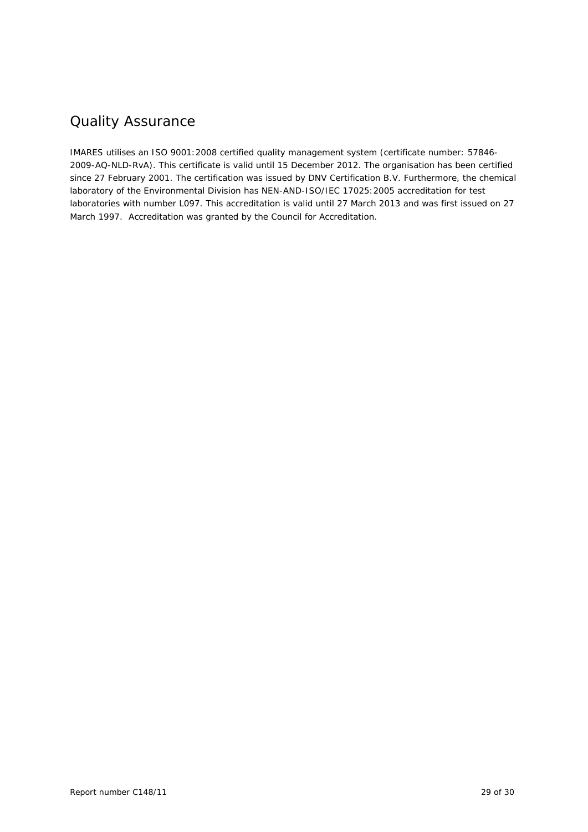# Quality Assurance

IMARES utilises an ISO 9001:2008 certified quality management system (certificate number: 57846- 2009-AQ-NLD-RvA). This certificate is valid until 15 December 2012. The organisation has been certified since 27 February 2001. The certification was issued by DNV Certification B.V. Furthermore, the chemical laboratory of the Environmental Division has NEN-AND-ISO/IEC 17025:2005 accreditation for test laboratories with number L097. This accreditation is valid until 27 March 2013 and was first issued on 27 March 1997. Accreditation was granted by the Council for Accreditation.